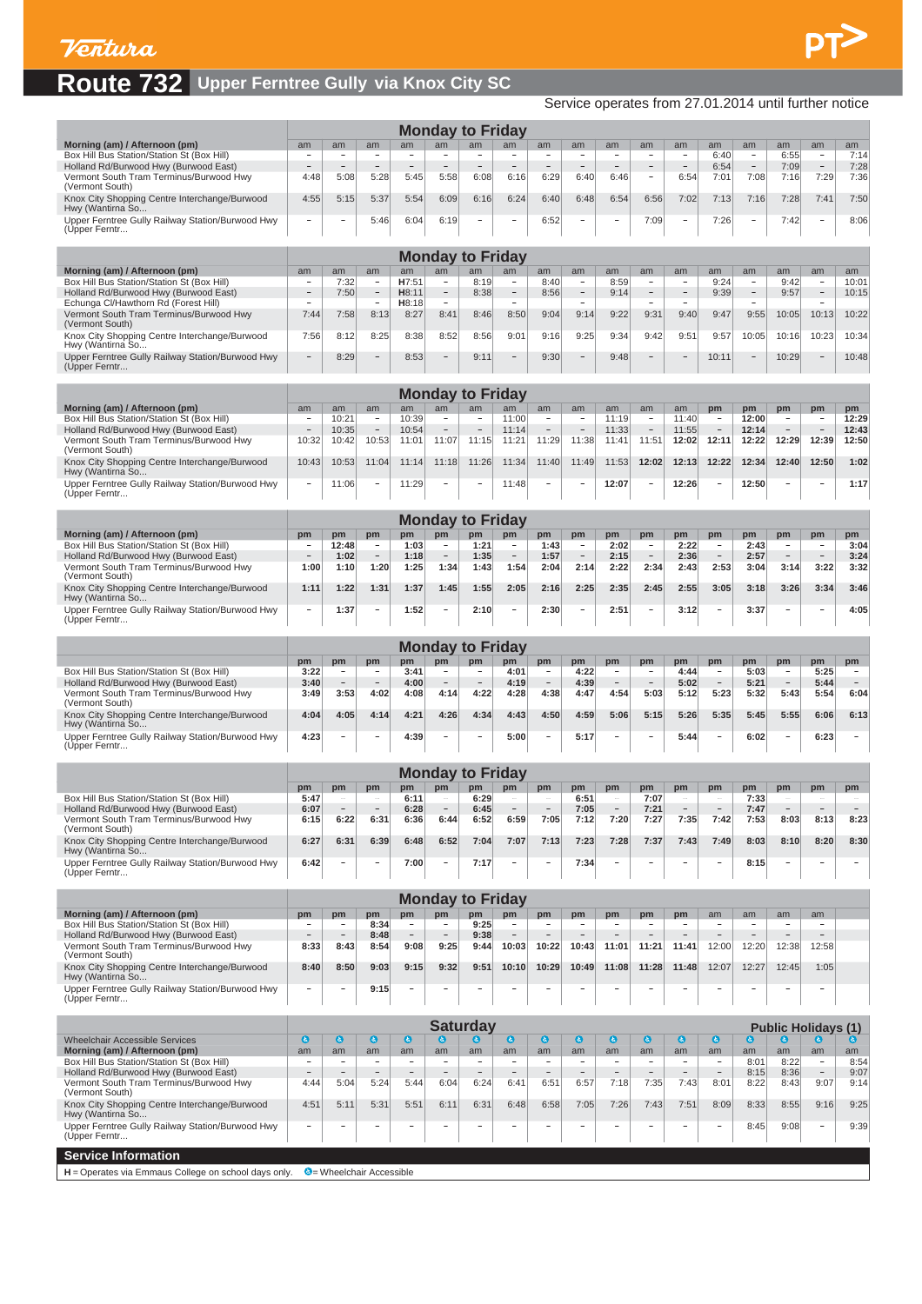

## **Route 732 Upper Ferntree Gully via Knox City SC**

Service operates from 27.01.2014 until further notice

|                                                                                     |                                            |                                                      |                                               |                                                      |                                    | <b>Monday to Friday</b>                                  |                                                      |                                                      |                                                      |                                                     |                                            |                                               |                                            |                                                      |                                                      |                                                      |                                  |
|-------------------------------------------------------------------------------------|--------------------------------------------|------------------------------------------------------|-----------------------------------------------|------------------------------------------------------|------------------------------------|----------------------------------------------------------|------------------------------------------------------|------------------------------------------------------|------------------------------------------------------|-----------------------------------------------------|--------------------------------------------|-----------------------------------------------|--------------------------------------------|------------------------------------------------------|------------------------------------------------------|------------------------------------------------------|----------------------------------|
| Morning (am) / Afternoon (pm)                                                       | am                                         | am                                                   | am                                            | am                                                   | am                                 | am                                                       | am                                                   | am                                                   | am                                                   | am                                                  | am                                         | am                                            | am                                         | am                                                   | am                                                   | am                                                   | am                               |
| Box Hill Bus Station/Station St (Box Hill)<br>Holland Rd/Burwood Hwy (Burwood East) | $\overline{a}$                             | $\overline{\phantom{a}}$<br>$\overline{a}$           | $\qquad \qquad -$<br>$\overline{\phantom{0}}$ |                                                      |                                    |                                                          |                                                      | $\overline{\phantom{a}}$<br>$\overline{\phantom{a}}$ | $\qquad \qquad -$<br>$\overline{\phantom{a}}$        | $\qquad \qquad -$<br>$\overline{\phantom{a}}$       | $\overline{\phantom{0}}$                   | $\qquad \qquad -$<br>$\overline{\phantom{a}}$ | 6:40<br>6:54                               | $\overline{\phantom{a}}$<br>$\overline{\phantom{a}}$ | 6:55<br>7:09                                         | $\overline{\phantom{a}}$<br>$\overline{\phantom{a}}$ | 7:14<br>7:28                     |
| Vermont South Tram Terminus/Burwood Hwy<br>(Vermont South)                          | 4:48                                       | 5:08                                                 | 5:28                                          | 5:45                                                 | 5:58                               | 6:08                                                     | 6:16                                                 | 6:29                                                 | 6:40                                                 | 6:46                                                | -                                          | 6:54                                          | 7:01                                       | 7:08                                                 | 7:16                                                 | 7:29                                                 | 7:36                             |
| Knox City Shopping Centre Interchange/Burwood<br>Hwy (Wantirna So                   | 4:55                                       | 5:15                                                 | 5:37                                          | 5:54                                                 | 6:09                               | 6:16                                                     | 6:24                                                 | 6:40                                                 | 6:48                                                 | 6:54                                                | 6:56                                       | 7:02                                          | 7:13                                       | 7:16                                                 | 7:28                                                 | 7:41                                                 | 7:50                             |
| Upper Ferntree Gully Railway Station/Burwood Hwy                                    |                                            | $\qquad \qquad -$                                    | 5:46                                          | 6:04                                                 | 6:19                               |                                                          |                                                      | 6:52                                                 | $\overline{a}$                                       |                                                     | 7:09                                       | $\overline{\phantom{a}}$                      | 7:26                                       | -                                                    | 7:42                                                 | $\overline{\phantom{a}}$                             | 8:06                             |
| (Upper Ferntr                                                                       |                                            |                                                      |                                               |                                                      |                                    |                                                          |                                                      |                                                      |                                                      |                                                     |                                            |                                               |                                            |                                                      |                                                      |                                                      |                                  |
|                                                                                     |                                            |                                                      |                                               |                                                      |                                    | <b>Monday to Friday</b>                                  |                                                      |                                                      |                                                      |                                                     |                                            |                                               |                                            |                                                      |                                                      |                                                      |                                  |
| Morning (am) / Afternoon (pm)<br>Box Hill Bus Station/Station St (Box Hill)         | am<br>۰                                    | am<br>7:32                                           | am<br>٠                                       | am<br>H7:51                                          | am<br>۰                            | am<br>8:19                                               | am<br>$\sim$                                         | am<br>8:40                                           | am<br>٠                                              | am<br>8:59                                          | am<br>۰                                    | am<br>$\overline{\phantom{a}}$                | am<br>9:24                                 | am<br>$\overline{\phantom{a}}$                       | am<br>9:42                                           | am<br>$\overline{\phantom{a}}$                       | am<br>10:01                      |
| Holland Rd/Burwood Hwy (Burwood East)<br>Echunga Cl/Hawthorn Rd (Forest Hill)       | $\overline{\phantom{a}}$                   | 7:50                                                 | -<br>$\overline{\phantom{a}}$                 | H8:11<br>H8:18                                       | $\sim$                             | 8:38                                                     | $\overline{\phantom{a}}$                             | 8:56                                                 | $\overline{\phantom{0}}$<br>$\overline{\phantom{a}}$ | 9:14                                                | $\overline{\phantom{a}}$                   | $\sim$                                        | 9:39                                       | $\overline{\phantom{a}}$                             | 9:57                                                 | $\overline{\phantom{0}}$<br>$\sim$                   | 10:15                            |
| Vermont South Tram Terminus/Burwood Hwy<br>(Vermont South)                          | 7:44                                       | 7:58                                                 | 8:13                                          | 8:27                                                 | 8:41                               | 8:46                                                     | 8:50                                                 | 9:04                                                 | 9:14                                                 | 9:22                                                | 9:31                                       | 9:40                                          | 9:47                                       | 9:55                                                 | 10:05                                                | 10:13                                                | 10:22                            |
| Knox City Shopping Centre Interchange/Burwood                                       | 7:56                                       | 8:12                                                 | 8:25                                          | 8:38                                                 | 8:52                               | 8:56                                                     | 9:01                                                 | 9:16                                                 | 9:25                                                 | 9:34                                                | 9:42                                       | 9:51                                          | 9:57                                       | 10:05                                                | 10:16                                                | 10:23                                                | 10:34                            |
| Hwy (Wantirna So<br>Upper Ferntree Gully Railway Station/Burwood Hwy                |                                            | 8:29                                                 |                                               | 8:53                                                 |                                    | 9:11                                                     |                                                      | 9:30                                                 | $\overline{\phantom{0}}$                             | 9:48                                                |                                            |                                               | 10:11                                      |                                                      | 10:29                                                |                                                      | 10:48                            |
| (Upper Ferntr                                                                       |                                            |                                                      |                                               |                                                      |                                    |                                                          |                                                      |                                                      |                                                      |                                                     |                                            |                                               |                                            |                                                      |                                                      |                                                      |                                  |
|                                                                                     |                                            |                                                      |                                               |                                                      |                                    | <b>Monday to Friday</b>                                  |                                                      |                                                      |                                                      |                                                     |                                            |                                               |                                            |                                                      |                                                      |                                                      |                                  |
| Morning (am) / Afternoon (pm)<br>Box Hill Bus Station/Station St (Box Hill)         | am<br>$\overline{\phantom{a}}$             | am<br>10:21                                          | am<br>$\overline{\phantom{a}}$                | am<br>10:39                                          | am<br>$\overline{\phantom{a}}$     | am<br>$\overline{\phantom{a}}$                           | am<br>11:00                                          | am<br>$\overline{\phantom{a}}$                       | am<br>$\overline{\phantom{a}}$                       | am<br>11:19                                         | am<br>$\overline{\phantom{a}}$             | am<br>11:40                                   | pm<br>$\overline{\phantom{a}}$             | pm<br>12:00                                          | pm                                                   | pm<br>$\overline{\phantom{a}}$                       | pm<br>12:29                      |
| Holland Rd/Burwood Hwy (Burwood East)<br>Vermont South Tram Terminus/Burwood Hwy    | 10:32                                      | 10:35<br>10:42                                       | $\overline{\phantom{a}}$<br>10:53             | 10:54<br>11:01                                       | 11:07                              | 11:15                                                    | 11:14<br>11:21                                       | 11:29                                                | 11:38                                                | 11:33<br>11:41                                      | 11:51                                      | 11:55<br>12:02                                | 12:11                                      | 12:14<br>12:22                                       | 12:29                                                | 12:39                                                | 12:43<br>12:50                   |
| (Vermont South)                                                                     |                                            |                                                      |                                               |                                                      |                                    |                                                          |                                                      |                                                      |                                                      |                                                     |                                            |                                               |                                            |                                                      |                                                      |                                                      |                                  |
| Knox City Shopping Centre Interchange/Burwood<br>Hwy (Wantirna So                   | 10:43                                      | 10:53                                                | 11:04                                         | 11:14                                                | 11:18                              | 11:26                                                    | 11:34                                                | 11:40                                                | 11:49                                                | 11:53                                               | 12:02                                      | 12:13                                         | 12:22                                      | 12:34                                                | 12:40                                                | 12:50                                                | 1:02                             |
| Upper Ferntree Gully Railway Station/Burwood Hwy<br>(Upper Ferntr                   |                                            | 11:06                                                |                                               | 11:29                                                |                                    |                                                          | 11:48                                                |                                                      | $\qquad \qquad -$                                    | 12:07                                               | ٠                                          | 12:26                                         |                                            | 12:50                                                |                                                      | $\qquad \qquad -$                                    | 1:17                             |
|                                                                                     |                                            |                                                      |                                               |                                                      |                                    | <b>Monday to Friday</b>                                  |                                                      |                                                      |                                                      |                                                     |                                            |                                               |                                            |                                                      |                                                      |                                                      |                                  |
| Morning (am) / Afternoon (pm)                                                       | pm                                         | pm                                                   | pm                                            | pm                                                   | pm                                 | pm                                                       | pm                                                   | pm                                                   | pm                                                   | pm                                                  | pm                                         | pm                                            | pm                                         | pm                                                   | pm                                                   | pm                                                   | pm                               |
| Box Hill Bus Station/Station St (Box Hill)<br>Holland Rd/Burwood Hwy (Burwood East) | $\overline{a}$                             | 12:48<br>1:02                                        | $\overline{\phantom{a}}$<br>$\equiv$          | 1:03<br>1:18                                         | $\overline{\phantom{a}}$<br>$\sim$ | 1:21<br>1:35                                             | $\overline{\phantom{a}}$<br>$\overline{\phantom{a}}$ | 1:43<br>1:57                                         | $\overline{\phantom{a}}$<br>$\equiv$                 | 2:02<br>2:15                                        | $\overline{\phantom{a}}$<br>$\overline{a}$ | 2:22<br>2:36                                  | $\overline{\phantom{a}}$<br>$\overline{a}$ | 2:43<br>2:57                                         | $\overline{\phantom{a}}$<br>$\overline{\phantom{a}}$ | $\overline{\phantom{a}}$<br>$\sim$                   | 3:04<br>3:24                     |
| Vermont South Tram Terminus/Burwood Hwy<br>(Vermont South)                          | 1:00                                       | 1:10                                                 | 1:20                                          | 1:25                                                 | 1:34                               | 1:43                                                     | 1:54                                                 | 2:04                                                 | 2:14                                                 | 2:22                                                | 2:34                                       | 2:43                                          | 2:53                                       | 3:04                                                 | 3:14                                                 | 3:22                                                 | 3:32                             |
| Knox City Shopping Centre Interchange/Burwood<br>Hwy (Wantirna So                   | 1:11                                       | 1:22                                                 | 1:31                                          | 1:37                                                 | 1:45                               | 1:55                                                     | 2:05                                                 | 2:16                                                 | 2:25                                                 | 2:35                                                | 2:45                                       | 2:55                                          | 3:05                                       | 3:18                                                 | 3:26                                                 | 3:34                                                 | 3:46                             |
| Upper Ferntree Gully Railway Station/Burwood Hwy                                    |                                            | 1:37                                                 | $\overline{a}$                                | 1:52                                                 | $\overline{\phantom{0}}$           | 2:10                                                     | $\overline{\phantom{0}}$                             | 2:30                                                 | $\qquad \qquad -$                                    | 2:51                                                | $\overline{a}$                             | 3:12                                          | $\overline{a}$                             | 3:37                                                 |                                                      | $\overline{\phantom{a}}$                             | 4:05                             |
| (Upper Ferntr                                                                       |                                            |                                                      |                                               |                                                      |                                    |                                                          |                                                      |                                                      |                                                      |                                                     |                                            |                                               |                                            |                                                      |                                                      |                                                      |                                  |
|                                                                                     |                                            |                                                      |                                               |                                                      | pm                                 | <b>Monday to Friday</b><br>pm                            |                                                      |                                                      |                                                      |                                                     |                                            |                                               |                                            |                                                      |                                                      |                                                      |                                  |
| Box Hill Bus Station/Station St (Box Hill)                                          | pm<br>3:22                                 | pm<br>$\overline{\phantom{a}}$                       | pm                                            | pm<br>3:41                                           | $\overline{\phantom{a}}$           | $\qquad \qquad =$                                        | pm<br>4:01                                           | pm<br>$\overline{\phantom{a}}$                       | pm<br>4:22                                           | pm<br>$\overline{\phantom{a}}$                      | pm<br>$\overline{\phantom{0}}$             | pm<br>4:44                                    | pm<br>$\overline{\phantom{0}}$             | pm<br>5:03                                           | pm<br>$\qquad \qquad \blacksquare$                   | pm<br>5:25                                           | pm<br>$\overline{\phantom{a}}$   |
| Holland Rd/Burwood Hwy (Burwood East)<br>Vermont South Tram Terminus/Burwood Hwy    | 3:40<br>3:49                               | $\overline{\phantom{a}}$<br>3:53                     | 4:02                                          | 4:00<br>4:08                                         | 4:14                               | 4:22                                                     | 4:19<br>4:28                                         | $\overline{\phantom{a}}$<br>4:38                     | 4:39<br>4:47                                         | $\overline{\phantom{a}}$<br>4:54                    | $\overline{a}$<br>5:03                     | 5:02<br>5:12                                  | 5:23                                       | 5:21<br>5:32                                         | 5:43                                                 | 5:44<br>5:54                                         | $\overline{\phantom{a}}$<br>6:04 |
| (Vermont South)<br>Knox City Shopping Centre Interchange/Burwood                    | 4:04                                       | 4:05                                                 | 4:14                                          | 4:21                                                 | 4:26                               | 4:34                                                     | 4:43                                                 | 4:50                                                 | 4:59                                                 | 5:06                                                | 5:15                                       | 5:26                                          | 5:35                                       | 5:45                                                 | 5:55                                                 | 6:06                                                 | 6:13                             |
| Hwy (Wantirna So<br>Upper Ferntree Gully Railway Station/Burwood Hwy                | 4:23                                       |                                                      |                                               | 4:39                                                 |                                    |                                                          | 5:00                                                 |                                                      | 5:17                                                 |                                                     |                                            | 5:44                                          |                                            | 6:02                                                 |                                                      | 6:23                                                 | $\overline{\phantom{a}}$         |
| (Upper Ferntr                                                                       |                                            |                                                      |                                               |                                                      |                                    |                                                          |                                                      |                                                      |                                                      |                                                     |                                            |                                               |                                            |                                                      |                                                      |                                                      |                                  |
|                                                                                     |                                            |                                                      |                                               |                                                      |                                    | <b>Monday to Friday</b>                                  |                                                      |                                                      |                                                      |                                                     |                                            |                                               |                                            |                                                      |                                                      |                                                      |                                  |
| Box Hill Bus Station/Station St (Box Hill)                                          | pm<br>5:47                                 | pm<br>$\overline{\phantom{0}}$                       | pm<br>$\overline{a}$                          | pm<br>6:11                                           | pm<br>$\overline{a}$               | pm<br>6:29                                               | pm<br>$\overline{\phantom{0}}$                       | pm<br>$\overline{\phantom{0}}$                       | pm<br>6:51                                           | pm<br>$\overline{\phantom{a}}$                      | pm<br>7:07                                 | pm<br>$\overline{\phantom{a}}$                | pm<br>$\overline{a}$                       | pm<br>7:33                                           | pm                                                   | pm<br>$\overline{\phantom{a}}$                       | pm                               |
| Holland Rd/Burwood Hwy (Burwood East)                                               | 6:07                                       |                                                      |                                               | 6:28                                                 |                                    | 6:45                                                     |                                                      |                                                      | 7:05                                                 |                                                     | 7:21                                       |                                               |                                            | 7:47                                                 |                                                      |                                                      |                                  |
| Vermont South Tram Terminus/Burwood Hwy<br>(Vermont South)                          | 6:15                                       | 6:22                                                 | 6:31                                          | 6:36                                                 | 6:44                               | 6:52                                                     | 6:59                                                 | 7:05                                                 | 7:12                                                 | 7:20                                                | 7:27                                       | 7:35                                          | 7:42                                       | 7:53                                                 | 8:03                                                 | 8:13                                                 | 8:23                             |
| Knox City Shopping Centre Interchange/Burwood<br>Hwy (Wantirna So                   | 6:27                                       | 6:31                                                 | 6:39                                          | 6:48                                                 | 6:52                               | 7:04                                                     | 7:07                                                 | 7:13                                                 | 7:23                                                 | 7:28                                                | 7:37                                       | 7:43                                          | 7:49                                       | 8:03                                                 | 8:10                                                 | 8:20                                                 | 8:30                             |
| Upper Ferntree Gully Railway Station/Burwood Hwy<br>(Upper Ferntr                   | 6:42                                       | $\overline{\phantom{a}}$                             | $\overline{\phantom{0}}$                      | 7:00                                                 | $\sim$                             | 7:17                                                     |                                                      | $\overline{\phantom{a}}$                             | 7:34                                                 | $\overline{\phantom{a}}$                            | -                                          |                                               | $\overline{\phantom{a}}$                   | 8:15                                                 | $\overline{\phantom{a}}$                             | $\overline{\phantom{a}}$                             | $\overline{\phantom{a}}$         |
|                                                                                     |                                            |                                                      |                                               |                                                      |                                    |                                                          |                                                      |                                                      |                                                      |                                                     |                                            |                                               |                                            |                                                      |                                                      |                                                      |                                  |
|                                                                                     |                                            |                                                      |                                               |                                                      |                                    |                                                          |                                                      |                                                      |                                                      |                                                     |                                            |                                               |                                            |                                                      |                                                      |                                                      |                                  |
| Morning (am) / Afternoon (pm)                                                       | pm                                         | pm                                                   | pm                                            | pm                                                   | pm                                 | <b>Monday to Friday</b><br>pm                            | pm                                                   | pm                                                   | pm                                                   | pm                                                  | pm                                         | pm                                            | am                                         | am                                                   | am                                                   | am                                                   |                                  |
| Box Hill Bus Station/Station St (Box Hill)                                          | $\overline{\phantom{a}}$                   | $\overline{\phantom{a}}$<br>$\equiv$                 | 8:34                                          | $\overline{\phantom{a}}$                             | $\overline{\phantom{a}}$           | 9:25                                                     | $\overline{\phantom{a}}$                             | $\overline{\phantom{a}}$                             | $\overline{\phantom{a}}$<br>$\overline{a}$           | $\overline{\phantom{a}}$                            | $\overline{\phantom{a}}$                   | $\overline{\phantom{a}}$                      | $\overline{\phantom{a}}$                   | $\overline{\phantom{a}}$                             | $\overline{\phantom{a}}$<br>$\overline{a}$           | $\overline{\phantom{a}}$                             |                                  |
| Holland Rd/Burwood Hwy (Burwood East)<br>Vermont South Tram Terminus/Burwood Hwy    | 8:33                                       | 8:43                                                 | 8:48<br>8:54                                  | 9:08                                                 | 9:25                               | 9:38<br>9:44                                             | 10:03                                                | 10:22                                                | 10:43                                                | 11:01                                               | 11:21                                      | 11:41                                         | 12:00                                      | 12:20                                                | 12:38                                                | 12:58                                                |                                  |
| (Vermont South)<br>Knox City Shopping Centre Interchange/Burwood                    | 8:40                                       | 8:50                                                 | 9:03                                          | 9:15                                                 | 9:32                               | 9:51                                                     | 10:10                                                | 10:29                                                | 10:49                                                | 11:08                                               | 11:28                                      | 11:48                                         | 12:07                                      | 12:27                                                | 12:45                                                | 1:05                                                 |                                  |
| Hwy (Wantirna So<br>Upper Ferntree Gully Railway Station/Burwood Hwy                |                                            |                                                      | 9:15                                          |                                                      |                                    |                                                          |                                                      |                                                      |                                                      |                                                     |                                            |                                               |                                            |                                                      |                                                      |                                                      |                                  |
| (Upper Ferntr                                                                       |                                            |                                                      |                                               |                                                      |                                    |                                                          |                                                      |                                                      |                                                      |                                                     |                                            |                                               |                                            |                                                      |                                                      |                                                      |                                  |
|                                                                                     |                                            |                                                      |                                               |                                                      |                                    | <b>Saturday</b>                                          |                                                      |                                                      |                                                      |                                                     |                                            |                                               |                                            |                                                      |                                                      | <b>Public Holidays (1)</b>                           |                                  |
| <b>Wheelchair Accessible Services</b><br>Morning (am) / Afternoon (pm)              | $\bullet$<br>am                            | $\mathbf{G}$<br>am                                   | $\bullet$<br>am                               | $\bullet$<br>am                                      | $\bullet$<br>am                    | O<br>am                                                  | $\bullet$<br>am                                      | $\mathbf{a}$<br>am                                   | $\bullet$<br>am                                      | $\bullet$<br>am                                     | $\bullet$<br>am                            | $\bullet$<br>am                               | $\bullet$<br>am                            | $\bullet$<br>am                                      | am                                                   | am                                                   | am                               |
| Box Hill Bus Station/Station St (Box Hill)                                          | $\overline{\phantom{a}}$<br>$\overline{a}$ | $\overline{\phantom{a}}$<br>$\overline{\phantom{a}}$ | $\qquad \qquad =$<br>$\overline{\phantom{a}}$ | $\overline{\phantom{a}}$<br>$\overline{\phantom{0}}$ | $\overline{\phantom{a}}$           | $\qquad \qquad \blacksquare$<br>$\overline{\phantom{m}}$ | $\overline{\phantom{a}}$<br>$\frac{1}{2}$            | $\overline{\phantom{a}}$<br>$\qquad \qquad -$        | $\overline{\phantom{a}}$<br>$\overline{\phantom{a}}$ | $\hspace{1.0cm} \bar{}$<br>$\overline{\phantom{a}}$ | $\qquad \qquad =$<br>$\overline{a}$        | $\overline{\phantom{a}}$                      | $\qquad \qquad \blacksquare$               | 8:01                                                 | 8:22                                                 | $\overline{\phantom{a}}$                             | 8:54                             |
| Holland Rd/Burwood Hwy (Burwood East)<br>Vermont South Tram Terminus/Burwood Hwy    | 4:44                                       | 5:04                                                 | 5:24                                          | 5:44                                                 | 6:04                               | 6:24                                                     | 6:41                                                 | 6:51                                                 | 6:57                                                 | 7:18                                                | 7:35                                       | 7:43                                          | 8:01                                       | 8:15<br>8:22                                         | 8:36<br>8:43                                         | $\overline{\phantom{a}}$<br>9:07                     | 9:07<br>9:14                     |
| (Vermont South)<br>Knox City Shopping Centre Interchange/Burwood                    | 4:51                                       | 5:11                                                 | 5:31                                          | 5:51                                                 | 6:11                               | 6:31                                                     | 6:48                                                 | 6:58                                                 | 7:05                                                 | 7:26                                                | 7:43                                       | 7:51                                          | 8:09                                       | 8:33                                                 | 8:55                                                 | 9:16                                                 | 9:25                             |
| Hwy (Wantirna So<br>Upper Ferntree Gully Railway Station/Burwood Hwy                |                                            | $\overline{a}$                                       |                                               |                                                      |                                    |                                                          |                                                      |                                                      | ÷                                                    |                                                     |                                            |                                               |                                            | 8:45                                                 | 9:08                                                 | $\overline{a}$                                       | 9:39                             |
| (Upper Ferntr<br><b>Service Information</b>                                         |                                            |                                                      |                                               |                                                      |                                    |                                                          |                                                      |                                                      |                                                      |                                                     |                                            |                                               |                                            |                                                      |                                                      |                                                      |                                  |

H = Operates via Emmaus College on school days only. <sup>©</sup> = Wheelchair Accessible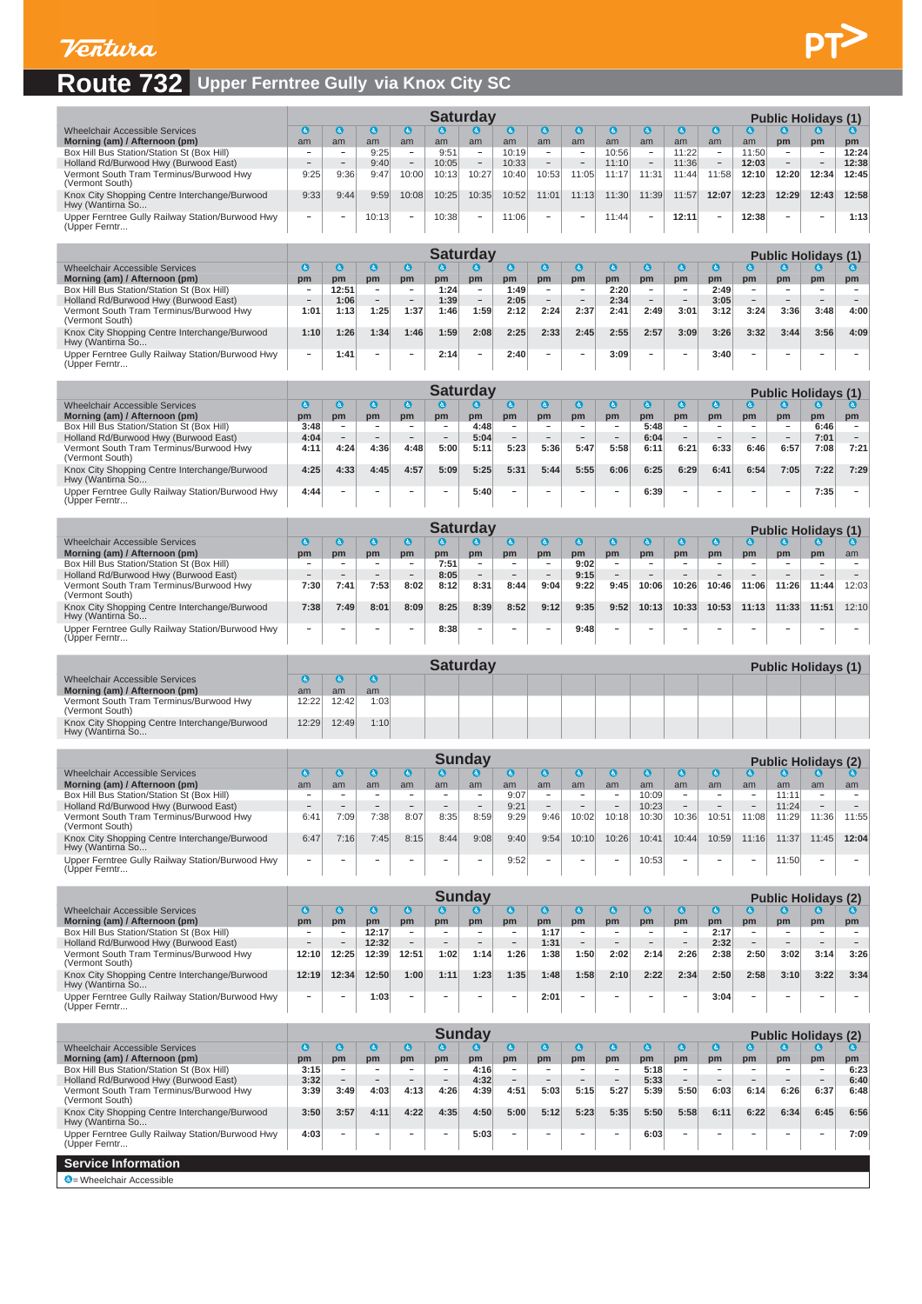### **Route 732 Upper Ferntree Gully via Knox City SC**

|                                                                   |      |                          |       |                          |       | Saturdav                 |       |                          |                   |       |                          |       |       |       | <b>Public Holidays (1)</b> |                          |       |
|-------------------------------------------------------------------|------|--------------------------|-------|--------------------------|-------|--------------------------|-------|--------------------------|-------------------|-------|--------------------------|-------|-------|-------|----------------------------|--------------------------|-------|
| <b>Wheelchair Accessible Services</b>                             | 6.   |                          |       |                          |       |                          |       | l &                      |                   |       |                          |       |       |       |                            |                          |       |
| Morning (am) / Afternoon (pm)                                     | am   | am                       | am    | am                       | am    | am                       | am    | am                       | am                | am    | am                       | am    | am    | am    | pm                         | pm                       | pm    |
| Box Hill Bus Station/Station St (Box Hill)                        |      | $\overline{\phantom{a}}$ | 9:25  | -                        | 9:51  | $\sim$                   | 10:19 | $\overline{\phantom{a}}$ | $\,$              | 10:56 | -                        | 11:22 |       | 11:50 | $\sim$                     | $\overline{\phantom{a}}$ | 12:24 |
| Holland Rd/Burwood Hwy (Burwood East)                             |      | $\overline{\phantom{a}}$ | 9:40  |                          | 10:05 | $\overline{\phantom{a}}$ | 10:33 | $-$                      | $\qquad \qquad =$ | 11:10 | $\overline{\phantom{0}}$ | 11:36 |       | 12:03 | $\overline{\phantom{a}}$   | $-$                      | 12:38 |
| Vermont South Tram Terminus/Burwood Hwy<br>(Vermont South)        | 9:25 | 9:36                     | 9:47  | 10:00                    | 10:13 | 10:27                    | 10:40 | 10:53                    | 1:05              | 11:17 | 11:31                    | 11:44 | 1:58  | 12:10 | 12:20                      | 12:34                    | 12:45 |
| Knox City Shopping Centre Interchange/Burwood<br>Hwy (Wantirna So | 9:33 | 9:44                     | 9:59  | 10:08                    | 10:25 | 10:35                    | 10:52 | 11:01                    | 1:13              | 11:30 | 1:39                     | 11:57 | 12:07 | 12:23 | 12:29                      | 12:43                    | 12:58 |
| Upper Ferntree Gully Railway Station/Burwood Hwy<br>(Upper Ferntr | -    | -                        | 10:13 | $\overline{\phantom{a}}$ | 10:38 | $\overline{\phantom{a}}$ | 11:06 | -                        | $-$               | 11:44 | -                        | 12:11 |       | 12:38 | $\overline{\phantom{a}}$   | $-$                      | 1:13  |

|                                                                   |      |       |                          |                          |      | Saturdav                 |      |      |                          |      |        |                 |      |        | <b>Public Holidays (1)</b> |        |      |
|-------------------------------------------------------------------|------|-------|--------------------------|--------------------------|------|--------------------------|------|------|--------------------------|------|--------|-----------------|------|--------|----------------------------|--------|------|
| <b>Wheelchair Accessible Services</b>                             | l G  |       |                          |                          |      |                          |      | l6.  |                          |      | lds.   |                 | ΙĠ.  |        |                            |        |      |
| Morning (am) / Afternoon (pm)                                     | pm   | pm    | pm                       | pm                       | pm   | pm                       | pm   | pm   | pm                       | pm   | pm     | pm              | pm   | pm     | pm                         | pm     | pm   |
| Box Hill Bus Station/Station St (Box Hill)                        |      | 12:51 | -                        | $\overline{\phantom{0}}$ | 1:24 | $\overline{\phantom{a}}$ | 1:49 | -    | -                        | 2:20 | -      | -               | 2:49 | -      | $\overline{\phantom{0}}$   | -      | -    |
| Holland Rd/Burwood Hwy (Burwood East)                             |      | 1:06  | $\overline{\phantom{a}}$ | <b>COLLECT</b>           | 1:39 |                          | 2:05 |      | -                        | 2:34 | $\sim$ | <b>Contract</b> | 3:05 |        |                            | $\sim$ |      |
| Vermont South Tram Terminus/Burwood Hwy<br>(Vermont South)        | 1:01 | 1:13  | 1:25                     | 1:37                     | 1:46 | 1:59                     | 2:12 | 2:24 | 2:37                     | 2:41 | 2:49   | 3:01            | 3:12 | 3:24   | 3:36                       | 3:48   | 4:00 |
| Knox City Shopping Centre Interchange/Burwood<br>Hwy (Wantirna So | 1:10 | 1:26  | 1:34                     | 1:46                     | 1:59 | 2:08                     | 2:25 | 2:33 | 2:45                     | 2:55 | 2:57   | 3:09            | 3:26 | 3:32   | 3:44                       | 3:56   | 4:09 |
| Upper Ferntree Gully Railway Station/Burwood Hwy<br>(Upper Ferntr | -    | 1:41  | -                        | -                        | 2:14 | -                        | 2:40 | -    | $\overline{\phantom{a}}$ | 3:09 | -      | $\sim$          | 3:40 | $\sim$ | $\overline{\phantom{a}}$   | $\sim$ |      |

|                                                                   |      |        |                          |                          |                          | Saturdav |      |                          |                          |                          |      |        |                          |                          |        | <b>Public Holidays (1)</b> |      |
|-------------------------------------------------------------------|------|--------|--------------------------|--------------------------|--------------------------|----------|------|--------------------------|--------------------------|--------------------------|------|--------|--------------------------|--------------------------|--------|----------------------------|------|
| <b>Wheelchair Accessible Services</b>                             | ω    |        |                          | KS.                      |                          | G.       | l G. |                          |                          |                          |      |        | IĠ.                      |                          |        |                            |      |
| Morning (am) / Afternoon (pm)                                     | pm   | pm     | pm                       | pm                       | pm                       | pm       | pm   | pm                       | pm                       | pm                       | pm   | pm     | pm                       | pm                       | pm     | pm                         | pm   |
| Box Hill Bus Station/Station St (Box Hill)                        | 3:48 | -      | -                        | -                        | $\overline{\phantom{a}}$ | 4:48     |      | $\overline{\phantom{a}}$ | -                        | -                        | 5:48 | -      | -                        | $\overline{\phantom{a}}$ |        | 6:46                       |      |
| Holland Rd/Burwood Hwy (Burwood East)                             | 4:04 | $\sim$ | $\overline{\phantom{a}}$ | -                        | <b>Contract</b>          | 5:04     |      | $\sim$                   | $\overline{\phantom{a}}$ | $\overline{\phantom{a}}$ | 6:04 |        | $\overline{\phantom{a}}$ | <b>Service</b>           | $\sim$ | 7:01                       |      |
| Vermont South Tram Terminus/Burwood Hwy<br>(Vermont South)        | 4:11 | 4:24   | 4:36                     | 4:48                     | 5:00                     | 5:11     | 5:23 | 5:36                     | 5:47                     | 5:58                     | 6:11 | 6:21   | 6:33                     | 6:46                     | 6:57   | 7:08                       | 7:21 |
| Knox City Shopping Centre Interchange/Burwood<br>Hwy (Wantirna So | 4:25 | 4:33   | 4:45                     | 4:57                     | 5:09                     | 5:25     | 5:31 | 5:44                     | 5:55                     | 6:06                     | 6:25 | 6:29   | 6:4'                     | 6:54                     | 7:05   | 7:22                       | 7:29 |
| Upper Ferntree Gully Railway Station/Burwood Hwy<br>(Upper Ferntr | 4:44 | $\sim$ | -                        | $\overline{\phantom{a}}$ | <b>STAR</b>              | 5:40     |      | <b>SHOP</b>              | -                        | -                        | 6:39 | $\sim$ | -                        | <b>STATE</b>             | $\sim$ | 7:35                       |      |

|                                                                   |                          |                          |                          |                          |      | aturdav |      |      |      |                          |                          |                          |                          |       | <b>Public Holidavs (1)</b> |        |       |
|-------------------------------------------------------------------|--------------------------|--------------------------|--------------------------|--------------------------|------|---------|------|------|------|--------------------------|--------------------------|--------------------------|--------------------------|-------|----------------------------|--------|-------|
| <b>Wheelchair Accessible Services</b>                             | ١ć.                      |                          |                          |                          |      |         |      | IG.  |      |                          |                          |                          |                          | o,    |                            |        |       |
| Morning (am) / Afternoon (pm)                                     | pm                       | pm                       | pm                       | pm                       | pm   | pm      | pm   | pm   | pm   | pm                       | pm                       | pm                       | pm                       | pm    | pm                         | pm     | am    |
| Box Hill Bus Station/Station St (Box Hill)                        |                          |                          | -                        | -                        | 7:51 | -       |      |      | 9:02 | -                        | -                        | -                        |                          |       |                            | $\sim$ |       |
| Holland Rd/Burwood Hwy (Burwood East)                             |                          |                          | $\overline{\phantom{0}}$ | $-$                      | 8:05 | -       |      | -    | 9:15 | -                        | $-$                      | $\overline{\phantom{a}}$ |                          |       | $\overline{\phantom{0}}$   | $\sim$ |       |
| Vermont South Tram Terminus/Burwood Hwy<br>(Vermont South)        | 7:30                     | 7:41                     | 7:53                     | 8:02                     | 8:12 | 8:31    | 8:44 | 9:04 | 9:22 | 9:45                     | 10:06                    | 10:26                    | 10:46                    | 11:06 | 11:26                      | 11:44  | 12:03 |
| Knox City Shopping Centre Interchange/Burwood<br>Hwy (Wantirna So | 7:38                     | 7:49                     | 8:01                     | 8:09                     | 8:25 | 8:39    | 8:52 | 9:12 | 9:35 | 9:52                     | 10:13                    | 10:33                    | 10:53                    | 11:13 | 11:33                      | 11:51  | 12:10 |
| Upper Ferntree Gully Railway Station/Burwood Hwy<br>(Upper Ferntr | $\overline{\phantom{a}}$ | $\overline{\phantom{0}}$ | $\overline{\phantom{a}}$ | $\overline{\phantom{0}}$ | 8:38 | $\sim$  |      | -    | 9:48 | $\overline{\phantom{a}}$ | $\overline{\phantom{a}}$ | -                        | $\overline{\phantom{a}}$ |       | $\overline{\phantom{a}}$   | $\sim$ |       |

|                                                                   |       |       |      | Saturdav |  |  |  |  | <b>Public Holidays (1)</b> |  |
|-------------------------------------------------------------------|-------|-------|------|----------|--|--|--|--|----------------------------|--|
| Wheelchair Accessible Services                                    |       |       |      |          |  |  |  |  |                            |  |
| Morning (am) / Afternoon (pm)                                     | am    | am    | am   |          |  |  |  |  |                            |  |
| Vermont South Tram Terminus/Burwood Hwy<br>(Vermont South)        | 12:22 | 12:42 | 1:03 |          |  |  |  |  |                            |  |
| Knox City Shopping Centre Interchange/Burwood<br>Hwy (Wantirna So | 12:29 | 12:49 | 1:10 |          |  |  |  |  |                            |  |

|                                                                   |      |      |                          |                |                          | <b>Sunda</b>             |      |                          |                          |                          |       |        |       |                          | <b>Public Holidays (2)</b> |                   |       |
|-------------------------------------------------------------------|------|------|--------------------------|----------------|--------------------------|--------------------------|------|--------------------------|--------------------------|--------------------------|-------|--------|-------|--------------------------|----------------------------|-------------------|-------|
| <b>Wheelchair Accessible Services</b>                             | lĠ,  |      |                          |                |                          |                          |      |                          |                          |                          |       |        | (હ,   |                          |                            |                   |       |
| Morning (am) / Afternoon (pm)                                     | am   | am   | am                       | am             | am                       | am                       | am   | am                       | am                       | am                       | am    | am     | am    | am                       | am                         | am                | am    |
| Box Hill Bus Station/Station St (Box Hill)                        |      |      | -                        | <b>Service</b> | $\sim$                   | $\sim$                   | 9:07 | $\sim$                   | -                        | $\sim$                   | 10:09 | $\sim$ |       | <b>Service</b>           | 11:11                      | -                 |       |
| Holland Rd/Burwood Hwy (Burwood East)                             |      |      | $\overline{\phantom{0}}$ | $\sim$         | $\overline{\phantom{a}}$ | $\overline{\phantom{a}}$ | 9:21 | $\overline{\phantom{a}}$ | $\overline{\phantom{a}}$ | $-$                      | 10:23 | -      |       | $\overline{\phantom{a}}$ | 11:24                      | $\qquad \qquad -$ |       |
| Vermont South Tram Terminus/Burwood Hwy<br>(Vermont South)        | 6:41 | 7:09 | 7:38                     | 8:07           | 8:35                     | 8:59                     | 9:29 | 9:46                     | 10:02                    | 10:18                    | 10:30 | 10:36  | 10:51 | 11:08                    | 1:29                       | 1:36              | 11:55 |
| Knox City Shopping Centre Interchange/Burwood<br>Hwy (Wantirna So | 6:47 | 7:16 | 7:45                     | 8:15           | 8:44                     | 9:08                     | 9:40 | 9:54                     | 10:10                    | 10:26                    | 10:41 | 10:44  | 10:59 | 11:16                    | 11:37                      | 11:45             | 12:04 |
| Upper Ferntree Gully Railway Station/Burwood Hwy<br>(Upper Ferntr |      |      | -                        | -              | -                        | -                        | 9:52 | $\overline{\phantom{a}}$ | -                        | $\overline{\phantom{0}}$ | 10:53 |        |       | -                        | 1:50                       | $\sim$            |       |

|                                                                   |       |                          |       |        |                          | Sunday                   |                          |      |                          |          |      |        |      |                          |                          | <b>Public Holidays (2)</b> |      |
|-------------------------------------------------------------------|-------|--------------------------|-------|--------|--------------------------|--------------------------|--------------------------|------|--------------------------|----------|------|--------|------|--------------------------|--------------------------|----------------------------|------|
| <b>Wheelchair Accessible Services</b>                             |       |                          |       |        |                          |                          |                          |      |                          |          |      |        |      |                          |                          |                            |      |
| Morning (am) / Afternoon (pm)                                     | pm    | pm                       | pm    | pm     | pm                       | pm                       | pm                       | pm   | pm                       | pm       | pm   | pm     | pm   | pm                       | pm                       | pm                         | pm   |
| Box Hill Bus Station/Station St (Box Hill)                        |       | $\overline{\phantom{a}}$ | 12:17 | $\sim$ | $\overline{\phantom{a}}$ | $\overline{\phantom{a}}$ |                          | 1:17 | $\sim$                   | $\sim$   | -    | -      | 2:17 | -                        | $\overline{\phantom{a}}$ | $\overline{\phantom{a}}$   |      |
| Holland Rd/Burwood Hwy (Burwood East)                             |       |                          | 12:32 | $-$    | $\sim$                   | -                        | $\overline{\phantom{a}}$ | 1:31 | $\overline{\phantom{a}}$ | $\equiv$ | $-$  | $\sim$ | 2:32 | $\overline{\phantom{a}}$ | -                        | $\sim$                     |      |
| Vermont South Tram Terminus/Burwood Hwy<br>(Vermont South)        | 12:10 | 12:25                    | 12:39 | 12:51  | 1:02                     | 1:14                     | 1:26                     | :38  | 1:50                     | 2:02     | 2:14 | 2:26   | 2:38 | 2:50                     | 3:02                     | 3:14                       | 3:26 |
| Knox City Shopping Centre Interchange/Burwood<br>Hwy (Wantirna So | 12:19 | 12:34                    | 12:50 | 1:00   | 1:11                     | 1:23                     | 1:35                     | 1:48 | 1:58                     | 2:10     | 2:22 | 2:34   | 2:50 | 2:58                     | 3:10                     | 3:22                       | 3:34 |
| Upper Ferntree Gully Railway Station/Burwood Hwy<br>(Upper Ferntr | -     | -                        | 1:03  | $\sim$ | $\sim$                   | -                        | -                        | 2:01 | -                        | $-$      | -    | -      | 3:04 | -                        | -                        | $\overline{\phantom{a}}$   |      |

|                                                                   |              |        |                          |        |            | Sunday    |      |                          |                          |        |              |        |                          |                          |                          | <b>Public Holidays (2)</b> |      |
|-------------------------------------------------------------------|--------------|--------|--------------------------|--------|------------|-----------|------|--------------------------|--------------------------|--------|--------------|--------|--------------------------|--------------------------|--------------------------|----------------------------|------|
| Wheelchair Accessible Services                                    | $\mathbf{G}$ | ra i   | LG.                      | G      |            | $\bullet$ | G    | lė,                      | k.                       | (d.)   | $\mathbf{a}$ | IG.    | IG.                      | G.                       |                          | IG)                        |      |
| Morning (am) / Afternoon (pm)                                     | pm           | pm     | pm                       | pm     | pm         | pm        | pm   | pm                       | pm                       | pm     | pm           | pm     | pm                       | pm                       | pm                       | pm                         | pm   |
| Box Hill Bus Station/Station St (Box Hill)                        | 3:15         | -      | -                        | -      | <b>.</b>   | 4:16      | -    | $\overline{\phantom{a}}$ | $\overline{\phantom{a}}$ | $-$    | 5:18         | -      | $\overline{\phantom{0}}$ | -                        | $\overline{\phantom{a}}$ | $\overline{\phantom{a}}$   | 6:23 |
| Holland Rd/Burwood Hwy (Burwood East)                             | 3:32         | $\sim$ | $\overline{\phantom{a}}$ | $\sim$ | <b>COL</b> | 4:32      |      | $\sim$                   | $\sim$                   | $\sim$ | 5:33         |        |                          | $\overline{\phantom{a}}$ | $\sim$                   | $\sim$                     | 6:40 |
| Vermont South Tram Terminus/Burwood Hwy<br>(Vermont South)        | 3:39         | 3:49   | 4:03                     | 4:13   | 4:26       | 4:39      | 4:51 | 5:03                     | 5:15                     | 5:27   | 5:39         | 5:50   | 6:03                     | 6:14                     | 6:26                     | 6:37                       | 6:48 |
| Knox City Shopping Centre Interchange/Burwood<br>Hwy (Wantirna So | 3:50         | 3:57   | 4:11                     | 4:22   | 4:35       | 4:50      | 5:00 | 5:12                     | 5:23                     | 5:35   | 5:50         | 5:58   | 6:11                     | 6:22                     | 6:34                     | 6:45                       | 6:56 |
| Upper Ferntree Gully Railway Station/Burwood Hwy<br>(Upper Ferntr | 4:03         | -      | $\overline{\phantom{a}}$ | -      | $\sim$     | 5:03      | -    | $\sim$                   | $\sim$                   | -      | 6:03         | $\sim$ |                          | -                        | $\sim$                   | $\overline{\phantom{a}}$   | 7:09 |
| <b>Service Information</b>                                        |              |        |                          |        |            |           |      |                          |                          |        |              |        |                          |                          |                          |                            |      |
| C = Wheelchair Accessible                                         |              |        |                          |        |            |           |      |                          |                          |        |              |        |                          |                          |                          |                            |      |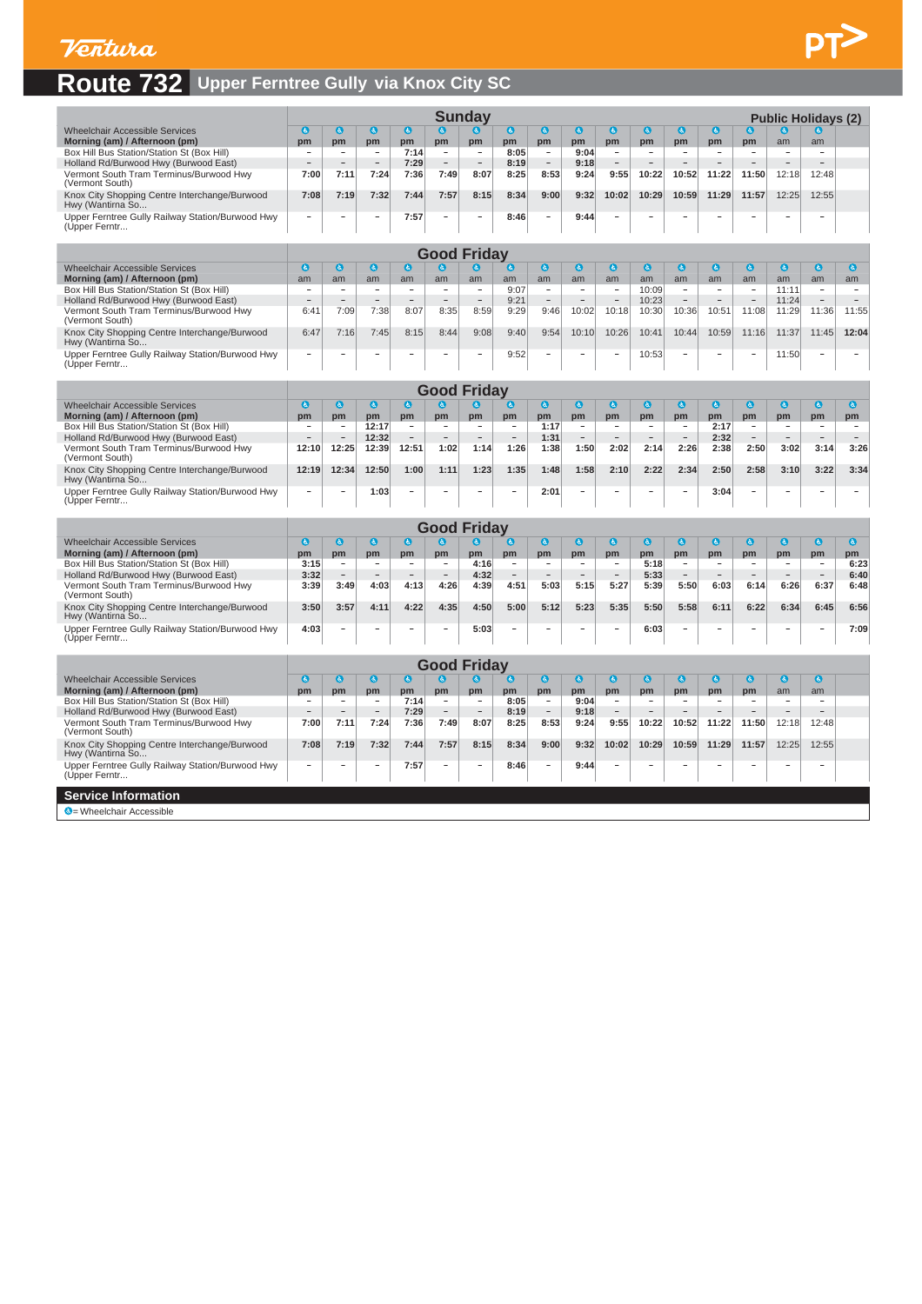# **Route 732 Upper Ferntree Gully via Knox City SC**

|                                                                                     |                                |                                           |                                |                                |                                            | <b>Sunday</b>                  |                                      |                                            |                                |                                               |                          |                                            |                                |                                      |                                            | <b>Public Holidays (2)</b>           |                                  |
|-------------------------------------------------------------------------------------|--------------------------------|-------------------------------------------|--------------------------------|--------------------------------|--------------------------------------------|--------------------------------|--------------------------------------|--------------------------------------------|--------------------------------|-----------------------------------------------|--------------------------|--------------------------------------------|--------------------------------|--------------------------------------|--------------------------------------------|--------------------------------------|----------------------------------|
| <b>Wheelchair Accessible Services</b>                                               | $\bullet$                      | a                                         | $\mathbf{a}$                   | $\bullet$                      | $\bullet$                                  | $\mathbf{c}$                   | $\bullet$                            | O                                          | $\bullet$                      | $\bullet$                                     | $\bullet$                | $\bullet$                                  | $\mathbf{a}$                   | $\mathbf{c}$                         | O                                          |                                      |                                  |
| Morning (am) / Afternoon (pm)                                                       | pm                             | pm                                        | pm                             | pm                             | pm                                         | pm                             | pm                                   | pm                                         | pm                             | pm                                            | pm                       | pm                                         | pm                             | pm                                   | am                                         | am                                   |                                  |
| Box Hill Bus Station/Station St (Box Hill)<br>Holland Rd/Burwood Hwy (Burwood East) |                                |                                           |                                | 7:14<br>7:29                   |                                            |                                | 8:05<br>8:19                         | $\qquad \qquad -$                          | 9:04<br>9:18                   | $\qquad \qquad -$<br>$\overline{\phantom{a}}$ |                          |                                            |                                |                                      |                                            |                                      |                                  |
| Vermont South Tram Terminus/Burwood Hwy<br>(Vermont South)                          | 7:00                           | 7:11                                      | 7:24                           | 7:36                           | 7:49                                       | 8:07                           | 8:25                                 | 8:53                                       | 9:24                           | 9:55                                          | 10:22                    | 10:52                                      | 11:22                          | 11:50                                | 12:18                                      | 12:48                                |                                  |
| Knox City Shopping Centre Interchange/Burwood<br>Hwy (Wantirna So                   | 7:08                           | 7:19                                      | 7:32                           | 7:44                           | 7:57                                       | 8:15                           | 8:34                                 | 9:00                                       | 9:32                           | 10:02                                         | 10:29                    | 10:59                                      | 11:29                          | 11:57                                | 12:25                                      | 12:55                                |                                  |
| Upper Ferntree Gully Railway Station/Burwood Hwy<br>(Upper Ferntr                   |                                |                                           | -                              | 7:57                           |                                            | $\overline{\phantom{a}}$       | 8:46                                 | $\qquad \qquad -$                          | 9:44                           |                                               |                          |                                            |                                |                                      |                                            |                                      |                                  |
|                                                                                     |                                |                                           |                                |                                |                                            |                                |                                      |                                            |                                |                                               |                          |                                            |                                |                                      |                                            |                                      |                                  |
|                                                                                     |                                |                                           |                                |                                |                                            | <b>Good Friday</b>             |                                      |                                            |                                |                                               |                          |                                            |                                |                                      |                                            |                                      |                                  |
| <b>Wheelchair Accessible Services</b>                                               | $\bullet$                      | $\mathbf{a}$                              | $\bullet$                      | $\bullet$                      | $\boldsymbol{a}$                           | $\bullet$                      | $\bf{c}$                             | O                                          | $\bullet$                      | $\bullet$                                     | $\bullet$                | $\bullet$                                  | $\bullet$                      | $\bullet$                            | $\bullet$                                  | $\bullet$                            | $\bullet$                        |
| Morning (am) / Afternoon (pm)<br>Box Hill Bus Station/Station St (Box Hill)         | am<br>$\overline{\phantom{a}}$ | am<br>$\overline{\phantom{m}}$            | am<br>$\overline{\phantom{a}}$ | am<br>$\overline{\phantom{a}}$ | am<br>$\qquad \qquad \blacksquare$         | am<br>$\overline{\phantom{a}}$ | am<br>9:07                           | am<br>$\overline{\phantom{a}}$             | am<br>$\overline{\phantom{a}}$ | am<br>$\overline{\phantom{a}}$                | am<br>10:09              | am<br>$\overline{\phantom{a}}$             | am<br>$\overline{\phantom{a}}$ | am<br>$\overline{\phantom{a}}$       | am<br>11:11                                | am<br>$\overline{\phantom{a}}$       | am<br>$\overline{\phantom{a}}$   |
| Holland Rd/Burwood Hwy (Burwood East)                                               |                                |                                           | ۳                              | $\sim$                         |                                            | $\overline{\phantom{a}}$       | 9:21                                 | $\sim$                                     | ۰                              | $\overline{\phantom{a}}$                      | 10:23                    |                                            | $\sim$                         | $\overline{a}$                       | 11:24                                      | $\overline{\phantom{a}}$             | ۰                                |
| Vermont South Tram Terminus/Burwood Hwy                                             | 6:41                           | 7:09                                      | 7:38                           | 8:07                           | 8:35                                       | 8:59                           | 9:29                                 | 9:46                                       | 10:02                          | 10:18                                         | 10:30                    | 10:36                                      | 10:51                          | 11:08                                | 11:29                                      | 11:36                                | 11:55                            |
| (Vermont South)<br>Knox City Shopping Centre Interchange/Burwood                    | 6:47                           | 7:16                                      | 7:45                           | 8:15                           | 8:44                                       | 9:08                           | 9:40                                 | 9:54                                       | 10:10                          | 10:26                                         | 10:41                    | 10:44                                      | 10:59                          | 11:16                                | 11:37                                      | 11:45                                | 12:04                            |
| Hwy (Wantirna So<br>Upper Ferntree Gully Railway Station/Burwood Hwy                |                                |                                           |                                |                                |                                            |                                | 9:52                                 |                                            |                                |                                               | 10:53                    |                                            |                                |                                      | 11:50                                      |                                      |                                  |
| (Upper Ferntr                                                                       |                                |                                           |                                |                                |                                            |                                |                                      |                                            |                                |                                               |                          |                                            |                                |                                      |                                            |                                      |                                  |
|                                                                                     |                                |                                           |                                |                                |                                            | <b>Good Friday</b>             |                                      |                                            |                                |                                               |                          |                                            |                                |                                      |                                            |                                      |                                  |
| <b>Wheelchair Accessible Services</b>                                               | $\bullet$                      | O                                         | $\bullet$                      | $\bullet$                      | O                                          | $\bullet$                      | G                                    | O                                          | $\bullet$                      | $\bullet$                                     | $\bullet$                | $\bullet$                                  | $\bullet$                      | O                                    | $\bullet$                                  | $\bullet$                            | $\bullet$                        |
| Morning (am) / Afternoon (pm)                                                       | pm                             | pm                                        | pm                             | pm                             | pm                                         | pm                             | pm                                   | pm                                         | pm                             | pm                                            | pm                       | pm                                         | pm                             | pm                                   | pm                                         | pm                                   | pm                               |
| Box Hill Bus Station/Station St (Box Hill)                                          | $\overline{\phantom{a}}$       | $\overline{\phantom{a}}$                  | 12:17                          | $\overline{\phantom{a}}$       | $\overline{\phantom{a}}$                   | $\overline{\phantom{a}}$       | $\overline{\phantom{a}}$             | 1:17                                       | $\overline{\phantom{a}}$       | $\overline{\phantom{a}}$                      | $\overline{\phantom{a}}$ | $\overline{\phantom{a}}$                   | 2:17                           | $\overline{\phantom{a}}$             | $\overline{\phantom{a}}$                   | $\overline{\phantom{a}}$             | $\overline{\phantom{a}}$         |
| Holland Rd/Burwood Hwy (Burwood East)<br>Vermont South Tram Terminus/Burwood Hwy    | 12:10                          | 12:25                                     | 12:32<br>12:39                 | 12:51                          | 1:02                                       | 1:14                           | 1:26                                 | 1:31<br>1:38                               | 1:50                           | 2:02                                          | 2:14                     | 2:26                                       | 2:32<br>2:38                   | 2:50                                 | 3:02                                       | 3:14                                 | $\overline{\phantom{a}}$<br>3:26 |
| (Vermont South)<br>Knox City Shopping Centre Interchange/Burwood                    | 12:19                          | 12:34                                     | 12:50                          | 1:00                           | 1:11                                       | 1:23                           | 1:35                                 | 1:48                                       | 1:58                           | 2:10                                          | 2:22                     | 2:34                                       | 2:50                           | 2:58                                 | 3:10                                       | 3:22                                 | 3:34                             |
| Hwy (Wantirna So<br>Upper Ferntree Gully Railway Station/Burwood Hwy                |                                |                                           | 1:03                           | ٠                              |                                            | $\overline{\phantom{a}}$       | $\overline{\phantom{a}}$             | 2:01                                       | $\sim$                         |                                               | ۰                        | $\overline{\phantom{a}}$                   | 3:04                           | $\overline{\phantom{a}}$             |                                            | $\overline{\phantom{a}}$             | $\overline{\phantom{a}}$         |
| (Upper Ferntr                                                                       |                                |                                           |                                |                                |                                            |                                |                                      |                                            |                                |                                               |                          |                                            |                                |                                      |                                            |                                      |                                  |
|                                                                                     |                                |                                           |                                |                                |                                            | <b>Good Friday</b>             |                                      |                                            |                                |                                               |                          |                                            |                                |                                      |                                            |                                      |                                  |
| <b>Wheelchair Accessible Services</b>                                               | $\bullet$                      | $\bullet$                                 | ◎                              | $\bullet$                      | $\bullet$                                  | $\bullet$                      | ⊌                                    | O                                          | $\bullet$                      | $\bullet$                                     | $\bullet$                | $\bullet$                                  | $\bullet$                      | $\bullet$                            | $\bullet$                                  | $\bullet$                            | $\bullet$                        |
| Morning (am) / Afternoon (pm)                                                       | pm                             | pm                                        | pm                             | pm                             | pm                                         | pm                             | pm                                   | pm                                         | pm                             | pm                                            | pm                       | pm                                         | pm                             | pm                                   | pm                                         | pm                                   | pm                               |
| Box Hill Bus Station/Station St (Box Hill)<br>Holland Rd/Burwood Hwy (Burwood East) | 3:15<br>3:32                   | $\overline{\phantom{a}}$<br>$\frac{1}{2}$ | -<br>$\equiv$                  | $\sim$<br>$\sim$               | $\overline{\phantom{a}}$<br>$\overline{a}$ | 4:16<br>4:32                   | $\overline{\phantom{a}}$<br>$\equiv$ | $\overline{\phantom{a}}$<br>$\overline{a}$ | $\sim$<br>$\sim$               | ٠<br>$\overline{\phantom{a}}$                 | 5:18<br>5:33             | $\overline{\phantom{a}}$<br>$\overline{a}$ | $\overline{\phantom{a}}$<br>÷  | $\overline{\phantom{a}}$<br>$\equiv$ | $\overline{\phantom{a}}$<br>$\overline{a}$ | $\overline{\phantom{a}}$<br>$\equiv$ | 6:23<br>6:40                     |
| Vermont South Tram Terminus/Burwood Hwy                                             | 3:39                           | 3:49                                      | 4:03                           | 4:13                           | 4:26                                       | 4:39                           | 4:51                                 | 5:03                                       | 5:15                           | 5:27                                          | 5:39                     | 5:50                                       | 6:03                           | 6:14                                 | 6:26                                       | 6:37                                 | 6:48                             |
| (Vermont South)<br>Knox City Shopping Centre Interchange/Burwood                    | 3:50                           | 3:57                                      | 4:11                           | 4:22                           | 4:35                                       | 4:50                           | 5:00                                 | 5:12                                       | 5:23                           | 5:35                                          | 5:50                     | 5:58                                       | 6:11                           | 6:22                                 | 6:34                                       | 6:45                                 | 6:56                             |
| Hwy (Wantirna So                                                                    |                                |                                           |                                |                                |                                            |                                |                                      |                                            |                                |                                               |                          |                                            |                                |                                      |                                            | $\overline{\phantom{a}}$             |                                  |
| Upper Ferntree Gully Railway Station/Burwood Hwy<br>(Upper Ferntr                   | 4:03                           |                                           |                                |                                |                                            | 5:03                           |                                      |                                            |                                |                                               | 6:03                     |                                            |                                |                                      |                                            |                                      | 7:09                             |
|                                                                                     |                                |                                           |                                |                                |                                            | <b>Good Friday</b>             |                                      |                                            |                                |                                               |                          |                                            |                                |                                      |                                            |                                      |                                  |
| <b>Wheelchair Accessible Services</b>                                               | $\bullet$                      | $\bullet$                                 | G                              | $\bullet$                      | $\mathbf{c}$                               | $\mathbf{c}$                   | $\mathbf{c}$                         | $\mathbf{c}$                               | $\bullet$                      | $\bullet$                                     | O                        | $\bullet$                                  | $\bullet$                      | $\bf{c}$                             | $\bullet$                                  | $\bullet$                            |                                  |
| Morning (am) / Afternoon (pm)                                                       | pm                             | pm                                        | pm                             | pm                             | pm                                         | pm                             | pm                                   | pm                                         | pm                             | pm                                            | pm                       | pm                                         | pm                             | pm                                   | am                                         | am                                   |                                  |
| Box Hill Bus Station/Station St (Box Hill)                                          | $\overline{a}$                 | ٠                                         | $\overline{\phantom{0}}$       | 7:14                           |                                            | $\overline{\phantom{a}}$       | 8:05                                 | $\overline{\phantom{a}}$                   | 9:04                           | $\overline{\phantom{a}}$                      | $\overline{\phantom{a}}$ | $\overline{\phantom{a}}$                   | $\overline{\phantom{a}}$       | $\overline{\phantom{a}}$             | $\overline{\phantom{a}}$                   | $\overline{\phantom{a}}$             |                                  |
| Holland Rd/Burwood Hwy (Burwood East)                                               |                                |                                           | $\overline{\phantom{a}}$       | 7:29                           |                                            |                                | 8:19                                 |                                            | 9:18                           | $\qquad \qquad -$                             |                          |                                            |                                |                                      |                                            |                                      |                                  |
| Vermont South Tram Terminus/Burwood Hwy<br>(Vermont South)                          | 7:00                           | 7:11                                      | 7:24                           | 7:36                           | 7:49                                       | 8:07                           | 8:25                                 | 8:53                                       | 9:24                           | 9:55                                          | 10:22                    | 10:52                                      | 11:22                          | 11:50                                | 12:18                                      | 12:48                                |                                  |
| Knox City Shopping Centre Interchange/Burwood<br>Hwy (Wantirna So                   | 7:08                           | 7:19                                      | 7:32                           | 7:44                           | 7:57                                       | 8:15                           | 8:34                                 | 9:00                                       | 9:32                           | 10:02                                         | 10:29                    | 10:59                                      | 11:29                          | 11:57                                | 12:25                                      | 12:55                                |                                  |
| Upper Ferntree Gully Railway Station/Burwood Hwy<br>(Upper Ferntr                   | -                              | $\overline{\phantom{0}}$                  | $-$                            | 7:57                           | $\qquad \qquad -$                          | $\overline{\phantom{a}}$       | 8:46                                 | $\qquad \qquad -$                          | 9:44                           | $\overline{a}$                                | $\overline{\phantom{0}}$ |                                            |                                | $\qquad \qquad -$                    | $\qquad \qquad -$                          | $\qquad \qquad \blacksquare$         |                                  |
| <b>Service Information</b>                                                          |                                |                                           |                                |                                |                                            |                                |                                      |                                            |                                |                                               |                          |                                            |                                |                                      |                                            |                                      |                                  |
| C = Wheelchair Accessible                                                           |                                |                                           |                                |                                |                                            |                                |                                      |                                            |                                |                                               |                          |                                            |                                |                                      |                                            |                                      |                                  |
|                                                                                     |                                |                                           |                                |                                |                                            |                                |                                      |                                            |                                |                                               |                          |                                            |                                |                                      |                                            |                                      |                                  |

 $pT$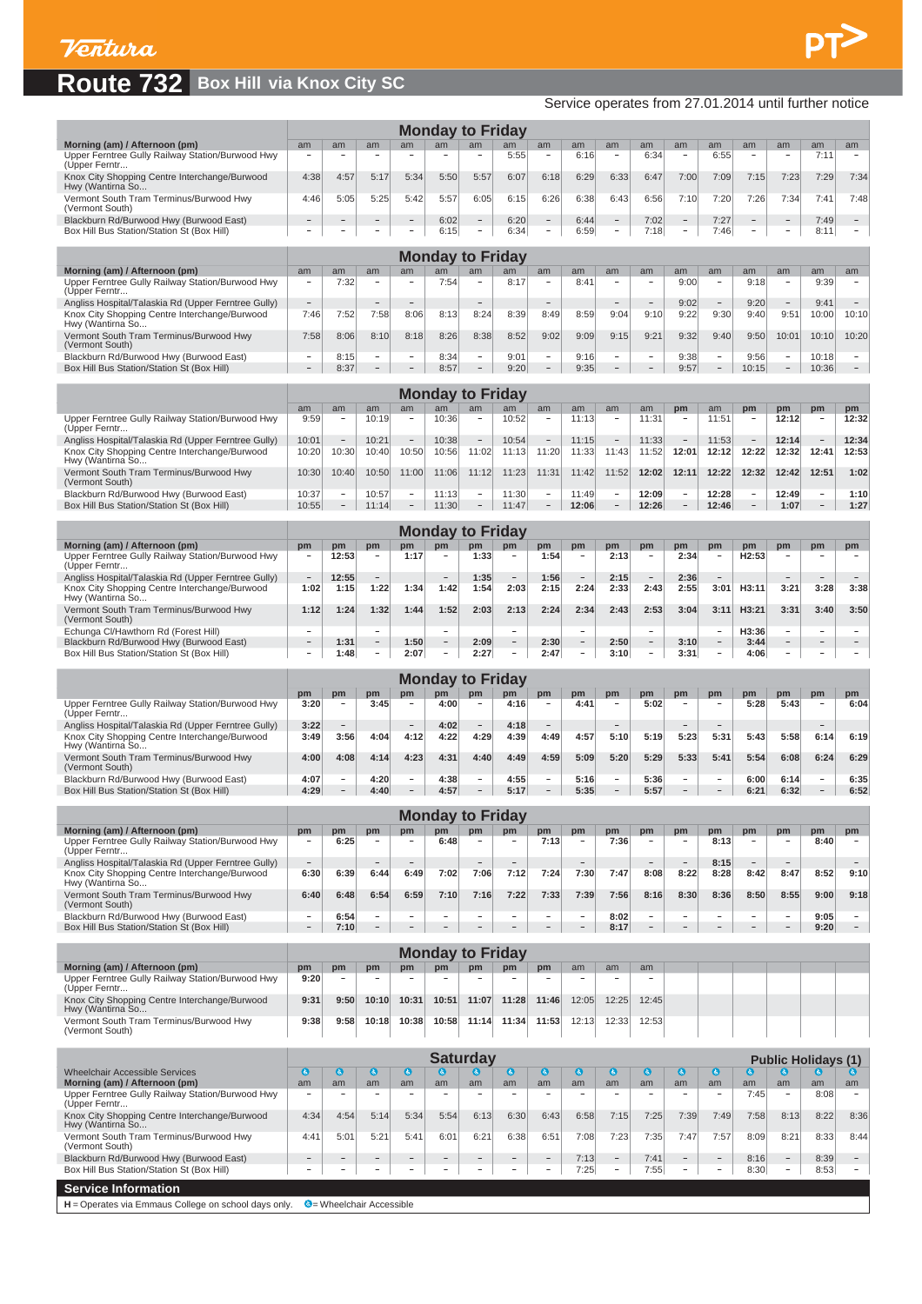Box Hil

#### $\overline{\mathsf{Ro}}$

|                                                                                                      |                                  |                          |                                    |                          |                          |                          |                          |                                |                                  |                                |                                  |                                |                                | Service operates from 27.01.2014 until further notice |                                |                                 |                                    |
|------------------------------------------------------------------------------------------------------|----------------------------------|--------------------------|------------------------------------|--------------------------|--------------------------|--------------------------|--------------------------|--------------------------------|----------------------------------|--------------------------------|----------------------------------|--------------------------------|--------------------------------|-------------------------------------------------------|--------------------------------|---------------------------------|------------------------------------|
|                                                                                                      |                                  |                          |                                    |                          |                          | <b>Monday to Friday</b>  |                          |                                |                                  |                                |                                  |                                |                                |                                                       |                                |                                 |                                    |
| Morning (am) / Afternoon (pm)                                                                        | am                               | am                       | am                                 | am                       | am                       | am                       | am                       | am                             | am                               | am                             | am                               | am                             | am                             | am                                                    | am                             | am                              | am                                 |
| Upper Ferntree Gully Railway Station/Burwood Hwy<br>(Upper Ferntr                                    |                                  |                          |                                    |                          |                          |                          | 5:55                     | $\overline{\phantom{a}}$       | 6:16                             |                                | 6:34                             |                                | 6:55                           | $\overline{a}$                                        |                                | 7:11                            | $\qquad \qquad -$                  |
| Knox City Shopping Centre Interchange/Burwood<br>Hwy (Wantirna So                                    | 4:38                             | 4:57                     | 5:17                               | 5:34                     | 5:50                     | 5:57                     | 6:07                     | 6:18                           | 6:29                             | 6:33                           | 6:47                             | 7:00                           | 7:09                           | 7:15                                                  | 7:23                           | 7:29                            | 7:34                               |
| Vermont South Tram Terminus/Burwood Hwy<br>(Vermont South)                                           | 4:46                             | 5:05                     | 5:25                               | 5:42                     | 5:57                     | 6:05                     | 6:15                     | 6:26                           | 6:38                             | 6:43                           | 6:56                             | 7:10                           | 7:20                           | 7:26                                                  | 7:34                           | 7:41                            | 7:48                               |
| Blackburn Rd/Burwood Hwy (Burwood East)                                                              |                                  |                          |                                    |                          | 6:02                     |                          | 6:20                     | $\overline{\phantom{a}}$       | 6:44                             |                                | 7:02                             |                                | 7:27                           |                                                       |                                | 7:49                            |                                    |
| Box Hill Bus Station/Station St (Box Hill)                                                           | $\overline{\phantom{0}}$         |                          |                                    |                          | 6:15                     | $\overline{\phantom{0}}$ | 6:34                     | $\overline{\phantom{a}}$       | 6:59                             | $\overline{\phantom{a}}$       | 7:18                             | $\qquad \qquad -$              | 7:46                           |                                                       | -                              | 8:11                            | $\overline{\phantom{a}}$           |
|                                                                                                      |                                  |                          |                                    |                          |                          | <b>Monday to Friday</b>  |                          |                                |                                  |                                |                                  |                                |                                |                                                       |                                |                                 |                                    |
| Morning (am) / Afternoon (pm)<br>Upper Ferntree Gully Railway Station/Burwood Hwy                    | am<br>$\overline{\phantom{a}}$   | am<br>7:32               | am                                 | am                       | am<br>7:54               | am                       | am<br>8:17               | am<br>$\overline{\phantom{a}}$ | am<br>8:41                       | am<br>$\overline{\phantom{a}}$ | am<br>٠                          | am<br>9:00                     | am<br>$\overline{\phantom{a}}$ | am<br>9:18                                            | am<br>$\overline{\phantom{a}}$ | am<br>9:39                      | am                                 |
| (Upper Ferntr<br>Angliss Hospital/Talaskia Rd (Upper Ferntree Gully)                                 | $\qquad \qquad -$                |                          |                                    |                          |                          | $\overline{\phantom{0}}$ |                          | $\overline{\phantom{a}}$       |                                  | $\overline{\phantom{a}}$       | $\overline{\phantom{a}}$         | 9:02                           | $\overline{\phantom{a}}$       | 9:20                                                  |                                | 9:41                            | $\qquad \qquad -$                  |
| Knox City Shopping Centre Interchange/Burwood<br>Hwy (Wantirna So                                    | 7:46                             | 7:52                     | 7:58                               | 8:06                     | 8:13                     | 8:24                     | 8:39                     | 8:49                           | 8:59                             | 9:04                           | 9:10                             | 9:22                           | 9:30                           | 9:40                                                  | 9:51                           | 10:00                           | 10:10                              |
| Vermont South Tram Terminus/Burwood Hwy                                                              | 7:58                             | 8:06                     | 8:10                               | 8:18                     | 8:26                     | 8:38                     | 8:52                     | 9:02                           | 9:09                             | 9:15                           | 9:21                             | 9:32                           | 9:40                           | 9:50                                                  | 10:01                          | 10:10                           | 10:20                              |
| (Vermont South)<br>Blackburn Rd/Burwood Hwy (Burwood East)                                           | $\overline{\phantom{a}}$         | 8:15                     | $\overline{\phantom{a}}$           | $\sim$                   | 8:34                     | $\sim$                   | 9:01                     | $\sim$                         | 9:16                             | $\overline{\phantom{a}}$       | $\overline{\phantom{a}}$         | 9:38                           | $\sim$                         | 9:56                                                  | $\overline{\phantom{a}}$       | 10:18                           | $\overline{\phantom{a}}$           |
| Box Hill Bus Station/Station St (Box Hill)                                                           |                                  | 8:37                     |                                    |                          | 8:57                     | $\overline{\phantom{0}}$ | 9:20                     |                                | 9:35                             | $\overline{a}$                 |                                  | 9:57                           |                                | 10:15                                                 |                                | 10:36                           |                                    |
|                                                                                                      |                                  |                          |                                    |                          |                          | <b>Monday to Friday</b>  |                          |                                |                                  |                                |                                  |                                |                                |                                                       |                                |                                 |                                    |
| Upper Ferntree Gully Railway Station/Burwood Hwy                                                     | am<br>9:59                       | am                       | am<br>10:19                        | am                       | am<br>10:36              | am                       | am<br>10:52              | am<br>$\overline{\phantom{a}}$ | am<br>11:13                      | am<br>$\overline{\phantom{a}}$ | am<br>11:31                      | pm<br>$\overline{\phantom{a}}$ | am<br>11:51                    | pm<br>$\overline{\phantom{a}}$                        | pm<br>12:12                    | pm<br>$\overline{\phantom{a}}$  | pm<br>12:32                        |
| (Upper Ferntr                                                                                        |                                  | $\overline{\phantom{a}}$ |                                    | $\overline{\phantom{m}}$ |                          | $\overline{\phantom{a}}$ |                          | $\overline{\phantom{a}}$       |                                  | $\overline{\phantom{a}}$       |                                  | $\qquad \qquad -$              |                                | $\qquad \qquad$                                       |                                |                                 |                                    |
| Angliss Hospital/Talaskia Rd (Upper Ferntree Gully)<br>Knox City Shopping Centre Interchange/Burwood | 10:01<br>10:20                   | 10:30                    | 10:21<br>10:40                     | 10:50                    | 10:38<br>10:56           | 11:02                    | 10:54<br>11:13           | 11:20                          | 11:15<br>11:33                   | 11:43                          | 11:33<br>11:52                   | 12:01                          | 11:53<br>12:12                 | 12:22                                                 | 12:14<br>12:32                 | 12:41                           | 12:34<br>12:53                     |
| Hwy (Wantirna So<br>Vermont South Tram Terminus/Burwood Hwy                                          | 10:30                            | 10:40                    | 10:50                              | 11:00                    | 11:06                    | 11:12                    | 11:23                    | 11:31                          | 11:42                            | 11:52                          | 12:02                            | 12:11                          | 12:22                          | 12:32                                                 | 12:42                          | 12:51                           | 1:02                               |
| (Vermont South)<br>Blackburn Rd/Burwood Hwy (Burwood East)                                           | 10:37                            | $\overline{\phantom{a}}$ | 10:57                              | $\overline{\phantom{a}}$ | 11:13                    | $\overline{\phantom{a}}$ | 11:30                    | $\overline{\phantom{a}}$       | 11:49                            | $\overline{\phantom{a}}$       | 12:09                            | $\qquad \qquad -$              | 12:28                          | $\overline{\phantom{a}}$                              | 12:49                          | $\overline{\phantom{a}}$        | 1:10                               |
| Box Hill Bus Station/Station St (Box Hill)                                                           | 10:55                            | $\overline{\phantom{m}}$ | 11:14                              |                          | 11:30                    |                          | 11:47                    |                                | 12:06                            | $\overline{\phantom{0}}$       | 12:26                            |                                | 12:46                          |                                                       | 1:07                           |                                 | 1:27                               |
|                                                                                                      |                                  |                          |                                    |                          |                          | <b>Monday to Friday</b>  |                          |                                |                                  |                                |                                  |                                |                                |                                                       |                                |                                 |                                    |
| Morning (am) / Afternoon (pm)                                                                        | pm<br>$\overline{\phantom{a}}$   | pm                       | pm<br>$\qquad \qquad \blacksquare$ | pm                       | pm                       | pm                       | pm                       | pm                             | pm<br>$\overline{\phantom{m}}$   | pm                             | pm<br>$\overline{\phantom{m}}$   | pm                             | pm<br>$\overline{\phantom{m}}$ | pm                                                    | pm<br>$\overline{\phantom{a}}$ | pm                              | pm<br>$\qquad \qquad \blacksquare$ |
| Upper Ferntree Gully Railway Station/Burwood Hwy<br>(Upper Ferntr                                    |                                  | 12:53                    |                                    | 1:17                     |                          | 1:33                     | $\overline{\phantom{a}}$ | 1:54                           |                                  | 2:13                           |                                  | 2:34                           |                                | H <sub>2:53</sub>                                     |                                |                                 |                                    |
| Angliss Hospital/Talaskia Rd (Upper Ferntree Gully)<br>Knox City Shopping Centre Interchange/Burwood | $\overline{\phantom{a}}$<br>1:02 | 12:55<br>1:15            | 1:22                               | 1:34                     | 1:42                     | 1:35<br>1:54             | $\equiv$<br>2:03         | 1:56<br>2:15                   | $\overline{\phantom{m}}$<br>2:24 | 2:15<br>2:33                   | $\overline{\phantom{a}}$<br>2:43 | 2:36<br>2:55                   | 3:01                           | H3:11                                                 | 3:21                           | 3:28                            | 3:38                               |
| Hwy (Wantirna So<br>Vermont South Tram Terminus/Burwood Hwy                                          | 1:12                             | 1:24                     | 1:32                               | 1:44                     | 1:52                     | 2:03                     | 2:13                     | 2:24                           | 2:34                             | 2:43                           | 2:53                             | 3:04                           | 3:11                           | H3:21                                                 | 3:31                           | 3:40                            | 3:50                               |
| (Vermont South)                                                                                      |                                  |                          |                                    |                          |                          |                          |                          |                                |                                  |                                |                                  |                                |                                |                                                       |                                |                                 |                                    |
| Echunga Cl/Hawthorn Rd (Forest Hill)<br>Blackburn Rd/Burwood Hwy (Burwood East)                      | $\overline{\phantom{a}}$         | 1:31                     | $\overline{\phantom{a}}$           | 1:50                     | $\overline{\phantom{a}}$ | 2:09                     | $\overline{\phantom{a}}$ | 2:30                           | $\overline{\phantom{a}}$         | 2:50                           | $\overline{\phantom{a}}$         | 3:10                           | $\overline{\phantom{a}}$       | H3:36<br>3:44                                         | $\overline{\phantom{a}}$       | $\overline{\phantom{a}}$        | $\overline{\phantom{m}}$           |
| Box Hill Bus Station/Station St (Box Hill)                                                           |                                  | 1:48                     | ÷,                                 | 2:07                     |                          | 2:27                     |                          | 2:47                           |                                  | 3:10                           |                                  | 3:31                           |                                | 4:06                                                  |                                |                                 |                                    |
|                                                                                                      |                                  |                          |                                    |                          |                          | <b>Monday to Friday</b>  |                          |                                |                                  |                                |                                  |                                |                                |                                                       |                                |                                 |                                    |
| Upper Ferntree Gully Railway Station/Burwood Hwy                                                     | pm<br>3:20                       | pm                       | pm<br>3:45                         | pm                       | pm<br>4:00               | pm                       | pm<br>4:16               | pm<br>$\overline{a}$           | pm<br>4:41                       | pm                             | pm<br>5:02                       | pm                             | pm                             | pm<br>5:28                                            | pm<br>5:43                     | pm                              | pm<br>6:04                         |
| (Upper Ferntr<br>Angliss Hospital/Talaskia Rd (Upper Ferntree Gully)                                 | 3:22                             |                          |                                    |                          | 4:02                     | $\overline{\phantom{0}}$ | 4:18                     |                                |                                  |                                |                                  |                                |                                |                                                       |                                |                                 |                                    |
| Knox City Shopping Centre Interchange/Burwood<br>Hwy (Wantirna So                                    | 3:49                             | 3:56                     | 4:04                               | 4:12                     | 4:22                     | 4:29                     | 4:39                     | 4:49                           | 4:57                             | 5:10                           | 5:19                             | 5:23                           | 5:31                           | 5:43                                                  | 5:58                           | 6:14                            | 6:19                               |
| Vermont South Tram Terminus/Burwood Hwy                                                              | 4:00                             | 4:08                     | 4:14                               | 4:23                     | 4:31                     | 4:40                     | 4:49                     | 4:59                           | 5:09                             | 5:20                           | 5:29                             | 5:33                           | 5:41                           | 5:54                                                  | 6:08                           | 6:24                            | 6:29                               |
| (Vermont South)<br>Blackburn Rd/Burwood Hwy (Burwood East)                                           | 4:07                             | $\overline{\phantom{a}}$ | 4:20                               | $\overline{\phantom{a}}$ | 4:38                     | $\overline{\phantom{0}}$ | 4:55                     | $\overline{\phantom{a}}$       | 5:16                             | $\overline{\phantom{a}}$       | 5:36                             | $\overline{\phantom{0}}$       | $\overline{\phantom{a}}$       | 6:00                                                  | 6:14                           | $\overline{\phantom{0}}$        | 6:35                               |
| Box Hill Bus Station/Station St (Box Hill)                                                           | 4:29                             |                          | 4:40                               |                          | 4:57                     |                          | 5:17                     |                                | 5:35                             |                                | 5:57                             |                                |                                | 6:21                                                  | 6:32                           |                                 | 6:52                               |
|                                                                                                      |                                  |                          |                                    |                          |                          | <b>Monday to Friday</b>  |                          |                                |                                  |                                |                                  |                                |                                |                                                       |                                |                                 |                                    |
| Morning (am) / Afternoon (pm)<br>Upper Ferntree Gully Railway Station/Burwood Hwy                    | pm                               | pm<br>6:25               | pm                                 | pm                       | pm<br>6:48               | pm                       | pm                       | pm<br>7:13                     | pm<br>$\overline{\phantom{0}}$   | pm<br>7:36                     | pm                               | pm                             | pm<br>8:13                     | pm<br>$\qquad \qquad -$                               | pm                             | pm<br>8:40                      | pm                                 |
| (Upper Ferntr<br>Angliss Hospital/Talaskia Rd (Upper Ferntree Gully)                                 | $\qquad \qquad -$                |                          |                                    |                          |                          |                          |                          |                                |                                  |                                |                                  | $\qquad \qquad -$              | 8:15                           | $\qquad \qquad -$                                     |                                |                                 |                                    |
| Knox City Shopping Centre Interchange/Burwood                                                        | 6:30                             | 6:39                     | 6:44                               | 6:49                     | 7:02                     | 7:06                     | 7:12                     | 7:24                           | 7:30                             | 7:47                           | 8:08                             | 8:22                           | 8:28                           | 8:42                                                  | 8:47                           | 8:52                            | 9:10                               |
| Hwy (Wantirna So<br>Vermont South Tram Terminus/Burwood Hwy                                          | 6:40                             | 6:48                     | 6:54                               | 6:59                     | 7:10                     | 7:16                     | 7:22                     | 7:33                           | 7:39                             | 7:56                           | 8:16                             | 8:30                           | 8:36                           | 8:50                                                  | 8:55                           | 9:00                            | 9:18                               |
| (Vermont South)<br>Blackburn Rd/Burwood Hwy (Burwood East)                                           | $\overline{\phantom{a}}$         | 6:54                     | $\qquad \qquad -$                  | $\qquad \qquad -$        | $\overline{\phantom{a}}$ | $\overline{\phantom{a}}$ | $\overline{\phantom{m}}$ | $\overline{\phantom{a}}$       | $\overline{\phantom{m}}$         | 8:02                           | $\overline{\phantom{a}}$         | $\qquad \qquad -$              | $\overline{\phantom{a}}$       | $\overline{\phantom{m}}$                              | $\overline{\phantom{a}}$       | 9:05                            | $\overline{\phantom{m}}$           |
| Box Hill Bus Station/Station St (Box Hill)                                                           | $\qquad \qquad -$                | 7:10                     |                                    |                          |                          |                          |                          |                                |                                  | 8:17                           | $\qquad \qquad -$                |                                |                                |                                                       |                                | 9:20                            | $\qquad \qquad =$                  |
|                                                                                                      |                                  |                          |                                    |                          |                          | <b>Monday to Friday</b>  |                          |                                |                                  |                                |                                  |                                |                                |                                                       |                                |                                 |                                    |
| Morning (am) / Afternoon (pm)                                                                        | pm                               | pm                       | pm                                 | pm                       | pm                       | pm                       | pm                       | pm                             | am                               | am                             | am                               |                                |                                |                                                       |                                |                                 |                                    |
| Upper Ferntree Gully Railway Station/Burwood Hwy<br>(Upper Ferntr                                    | 9:20                             |                          |                                    |                          |                          |                          |                          |                                |                                  |                                |                                  |                                |                                |                                                       |                                |                                 |                                    |
| Knox City Shopping Centre Interchange/Burwood<br>Hwy (Wantirna So                                    | 9:31                             | 9:50                     | 10:10                              | 10:31                    | 10:51                    | 11:07                    | 11:28                    | 11:46                          | 12:05                            | 12:25                          | 12:45                            |                                |                                |                                                       |                                |                                 |                                    |
| Vermont South Tram Terminus/Burwood Hwy<br>(Vermont South)                                           | 9:38                             | 9:58                     | 10:18                              | 10:38                    | 10:58                    | 11:14                    | 11:34                    | 11:53                          | 12:13                            | 12:33                          | 12:53                            |                                |                                |                                                       |                                |                                 |                                    |
|                                                                                                      |                                  |                          |                                    |                          |                          |                          |                          |                                |                                  |                                |                                  |                                |                                |                                                       |                                |                                 |                                    |
| <b>Wheelchair Accessible Services</b>                                                                | $\bullet$                        | $\bullet$                | $\bullet$                          | $\bullet$                | $\bullet$                | <b>Saturday</b><br>◎     | O                        | $\bullet$                      | ⊌                                | $\bullet$                      | ◎                                | O                              | $\bullet$                      | ◎                                                     | G                              | <b>Public Holidays (1)</b><br>Θ |                                    |
| Morning (am) / Afternoon (pm)                                                                        | am                               | am                       | am                                 | am                       | am                       | am                       | am                       | am                             | am                               | am                             | am                               | am<br>$\overline{\phantom{m}}$ | am                             | am                                                    | am                             | am                              | am                                 |
| Upper Ferntree Gully Railway Station/Burwood Hwy<br>(Upper Ferntr                                    |                                  |                          |                                    |                          |                          | $\overline{\phantom{0}}$ |                          | $\overline{\phantom{a}}$       | $\overline{\phantom{a}}$         | -                              |                                  |                                |                                | 7:45                                                  |                                | 8:08                            | $\qquad \qquad -$                  |
| Knox City Shopping Centre Interchange/Burwood<br>Hwy (Wantirna So                                    | 4:34                             | 4:54                     | 5:14                               | 5:34                     | 5:54                     | 6:13                     | 6:30                     | 6:43                           | 6:58                             | 7:15                           | 7:25                             | 7:39                           | 7:49                           | 7:58                                                  | 8:13                           | 8:22                            | 8:36                               |
| Vermont South Tram Terminus/Burwood Hwy<br>(Vermont South)                                           | 4:41                             | 5:01                     | 5:21                               | 5:41                     | 6:01                     | 6:21                     | 6:38                     | 6:51                           | 7:08                             | 7:23                           | 7:35                             | 7:47                           | 7:57                           | 8:09                                                  | 8:21                           | 8:33                            | 8:44                               |
| Blackburn Rd/Burwood Hwy (Burwood East)                                                              |                                  |                          |                                    |                          |                          |                          |                          |                                | 7:13                             |                                | 7:41                             |                                |                                | 8:16                                                  |                                | 8:39                            |                                    |
| Box Hill Bus Station/Station St (Box Hill)                                                           | $\overline{\phantom{a}}$         |                          |                                    |                          |                          | $\overline{\phantom{0}}$ |                          | $\overline{\phantom{a}}$       | 7:25                             | $\overline{\phantom{a}}$       | 7:55                             | $\overline{\phantom{m}}$       |                                | 8:30                                                  | $\overline{\phantom{a}}$       | 8:53                            | $\overline{\phantom{a}}$           |

 $PT$ 

**Service Information**

H = Operates via Emmaus College on school days only. <sup>©</sup> = Wheelchair Accessible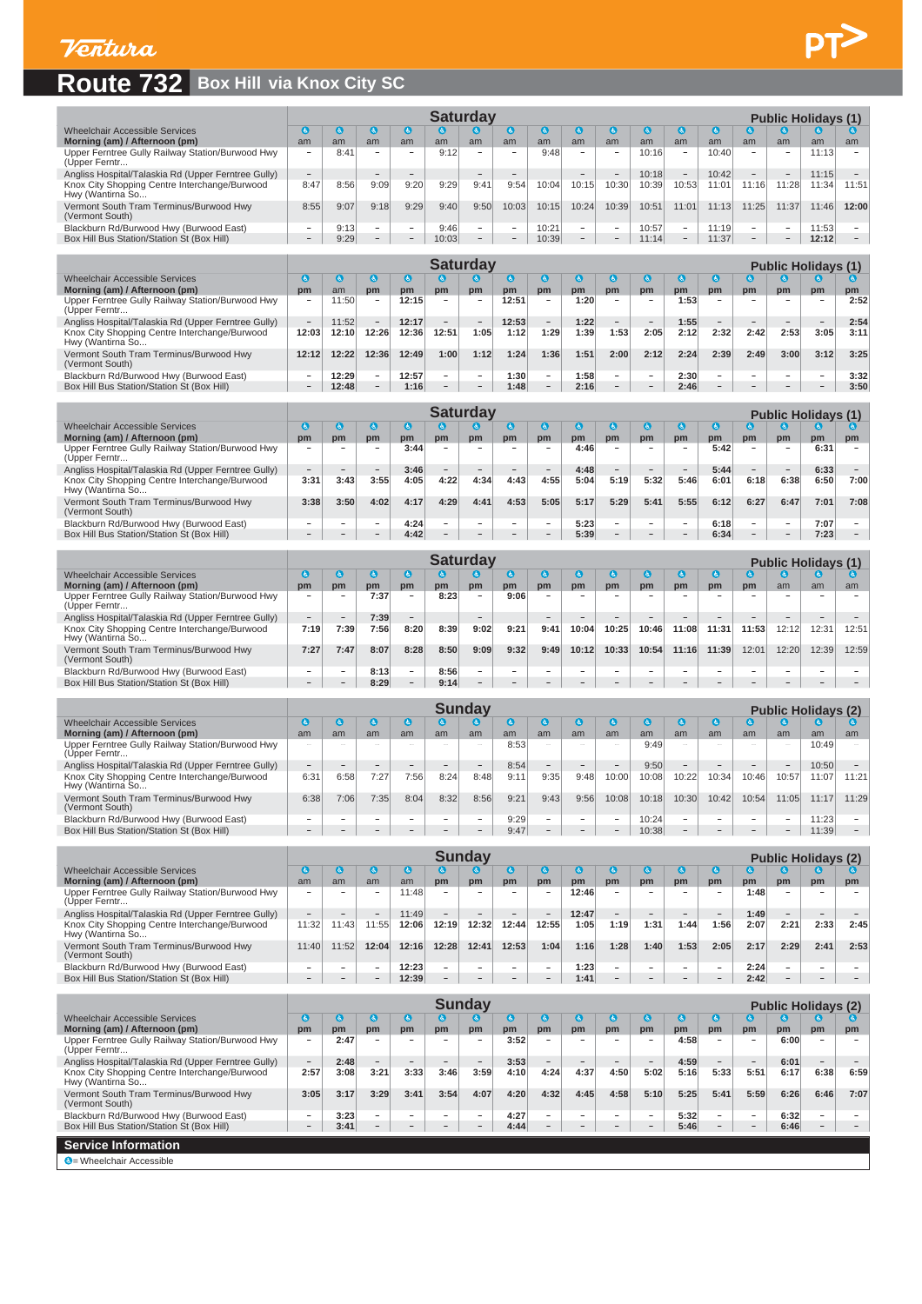

## **Route 732 Box Hill via Knox City SC**

|                                                                   |                          |      |                          |                          |       | <b>Saturday</b>          |                          |       |                                 |                                 |       |                 |       |                          |                          | <b>Public Holidays (1)</b> |                          |
|-------------------------------------------------------------------|--------------------------|------|--------------------------|--------------------------|-------|--------------------------|--------------------------|-------|---------------------------------|---------------------------------|-------|-----------------|-------|--------------------------|--------------------------|----------------------------|--------------------------|
| Wheelchair Accessible Services                                    | $\bullet$                | l G. | G.                       | $\omega$                 | G)    | $\boldsymbol{a}$         | $\bullet$                | G     | G                               | l G.                            | G     | $\mathbf{a}$    | G.    | G)                       | $\bullet$                | 6                          |                          |
| Morning (am) / Afternoon (pm)                                     | am                       | am   | am                       | am                       | am    | am                       | am                       | am    | am                              | am                              | am    | am              | am    | am                       | am                       | am                         | am                       |
| Upper Ferntree Gully Railway Station/Burwood Hwy<br>(Upper Ferntr | $\overline{\phantom{a}}$ | 8:41 | $\overline{\phantom{0}}$ | -                        | 9:12  | $\sim$                   | $\overline{\phantom{a}}$ | 9:48  | -                               | $\overline{\phantom{a}}$        | 10:16 | -               | 10:40 | $\sim$                   | $\sim$                   | 11:13                      | $\sim$                   |
| Angliss Hospital/Talaskia Rd (Upper Ferntree Gully)               | $-$                      |      | $\overline{\phantom{a}}$ | $\overline{\phantom{0}}$ |       | $\overline{\phantom{a}}$ | $\overline{\phantom{0}}$ |       | $\hspace{0.1mm}-\hspace{0.1mm}$ | $\hspace{0.1mm}-\hspace{0.1mm}$ | 10:18 | $\qquad \qquad$ | 10:42 | $-$                      | $\overline{\phantom{a}}$ | 11:15                      | $\overline{\phantom{a}}$ |
| Knox City Shopping Centre Interchange/Burwood<br>Hwy (Wantirna So | 8:47                     | 8:56 | 9:09                     | 9:20                     | 9:29  | 9:41                     | 9:54                     | 10:04 | 10:15                           | 10:30                           | 10:39 | 10:53           | 11:01 | 11:16                    | 11:28                    | 11:34                      | 11:51                    |
| Vermont South Tram Terminus/Burwood Hwy<br>(Vermont South)        | 8:55                     | 9:07 | 9:18                     | 9:29                     | 9:40  | 9:50                     | 10:03                    | 10:15 | 10:24                           | 10:39                           | 10:51 | 11:01           | 11:13 | 11:25                    | 1:37                     | 11:46                      | 12:00                    |
| Blackburn Rd/Burwood Hwy (Burwood East)                           | $\overline{\phantom{a}}$ | 9:13 | -                        | -                        | 9:46  | $\sim$                   | $\overline{\phantom{a}}$ | 10:21 | -                               | $\overline{\phantom{a}}$        | 10:57 | $\sim$          | 11:19 | $\sim$                   | $\sim$                   | 11:53                      | $\sim$                   |
| Box Hill Bus Station/Station St (Box Hill)                        | -                        | 9:29 | -                        | $-$                      | 10:03 | $\overline{\phantom{a}}$ | $\overline{\phantom{a}}$ | 10:39 | $-$                             | $-$                             | 11:14 | $\sim$          | 11:37 | $\overline{\phantom{a}}$ | $\qquad \qquad$          | 12:12                      | $\overline{\phantom{a}}$ |
|                                                                   |                          |      |                          |                          |       |                          |                          |       |                                 |                                 |       |                 |       |                          |                          |                            |                          |
|                                                                   |                          |      |                          |                          |       | Saturdav                 |                          |       |                                 |                                 |       |                 |       |                          |                          | <b>Public Holidavs (1)</b> |                          |

 $PT$ 

|                                                                   | vatul ua v |       |                          |       |                          |                          |       |      |      |                          |        |      |      | PUDIIC HOIIDAYS (1)      |                          |                          |      |  |  |  |  |
|-------------------------------------------------------------------|------------|-------|--------------------------|-------|--------------------------|--------------------------|-------|------|------|--------------------------|--------|------|------|--------------------------|--------------------------|--------------------------|------|--|--|--|--|
| <b>Wheelchair Accessible Services</b>                             | G,         |       |                          |       |                          |                          |       |      |      |                          |        |      |      |                          |                          |                          |      |  |  |  |  |
| Morning (am) / Afternoon (pm)                                     | pm         | am    | pm                       | pm    | pm                       | pm                       | pm    | pm   | pm   | pm                       | pm     | pm   | pm   | pm                       | pm                       | pm                       | pm   |  |  |  |  |
| Upper Ferntree Gully Railway Station/Burwood Hwy<br>(Upper Ferntr |            | 11:50 | $\overline{\phantom{a}}$ | 12:15 | $\sim$                   | <b>STATE</b>             | 12:51 |      | 1:20 |                          | . .    | 1:53 |      | $\overline{\phantom{a}}$ | $\sim$                   | $\sim$                   | 2:52 |  |  |  |  |
| Angliss Hospital/Talaskia Rd (Upper Ferntree Gully)               |            | 11:52 | $\overline{\phantom{a}}$ | 12:17 | $\sim$                   | <b>Service</b>           | 12:53 |      | 1:22 | $\sim$                   | $\sim$ | 1:55 |      |                          | $\sim$                   | $\overline{\phantom{a}}$ | 2:54 |  |  |  |  |
| Knox City Shopping Centre Interchange/Burwood<br>Hwy (Wantirna So | 12:03      | 12:10 | 2:26                     | 12:36 | 12:51                    | 1:05                     | 1:12  | 1:29 | 1:39 | 1:53                     | 2:05   | 2:12 | 2:32 | 2:42                     | 2:53                     | 3:05                     | 3:11 |  |  |  |  |
| Vermont South Tram Terminus/Burwood Hwy<br>(Vermont South)        | 12:12      | 12:22 | 2:36                     | 12:49 | 1:00                     | 1:12                     | 1:24  | 1:36 | 1:51 | 2:00                     | 2:12   | 2:24 | 2:39 | 2:49                     | 3:00                     | 3:12                     | 3:25 |  |  |  |  |
| Blackburn Rd/Burwood Hwy (Burwood East)                           |            | 12:29 | -                        | 12:57 | $\overline{\phantom{a}}$ | $\sim$                   | 1:30  |      | 1:58 | -                        | -      | 2:30 |      | -                        | $\sim$                   | $\sim$                   | 3:32 |  |  |  |  |
| Box Hill Bus Station/Station St (Box Hill)                        |            | 12:48 | $-$                      | 1:16  | $\overline{\phantom{0}}$ | $\overline{\phantom{a}}$ | 1:48  | -    | 2:16 | $\overline{\phantom{a}}$ | $-$    | 2:46 |      | -                        | $\overline{\phantom{0}}$ | $-$                      | 3:50 |  |  |  |  |

|                                                                   | Saturdav                                            |                          |                          |      |                          |                          |      |                          |      |                          |                          |                          |      |                          |                          | <b>Public Holidays (1)</b> |                          |  |  |  |  |
|-------------------------------------------------------------------|-----------------------------------------------------|--------------------------|--------------------------|------|--------------------------|--------------------------|------|--------------------------|------|--------------------------|--------------------------|--------------------------|------|--------------------------|--------------------------|----------------------------|--------------------------|--|--|--|--|
| Wheelchair Accessible Services                                    | $\mathbf{G}$<br>IĠ.<br>G<br>IG.<br>G.<br>۱Ġ.<br>ıs. |                          |                          |      |                          |                          |      |                          |      |                          |                          |                          |      |                          |                          | (ö. 1                      |                          |  |  |  |  |
| Morning (am) / Afternoon (pm)                                     | pm                                                  | pm                       | pm                       | pm   | pm                       | pm                       | pm   | pm                       | pm   | pm                       | pm                       | pm                       | pm   | pm                       | pm                       | pm                         | pm                       |  |  |  |  |
| Upper Ferntree Gully Railway Station/Burwood Hwy<br>(Upper Ferntr | -                                                   |                          | -                        | 3:44 |                          | $\overline{\phantom{a}}$ |      |                          | 4:46 | -                        | $\overline{\phantom{a}}$ | $\overline{\phantom{a}}$ | 5:42 | $\sim$                   | $\overline{\phantom{a}}$ | 6:31                       |                          |  |  |  |  |
| Angliss Hospital/Talaskia Rd (Upper Ferntree Gully)               | -                                                   |                          | -                        | 3:46 | $\sim$                   | $\sim$                   |      | $\overline{\phantom{a}}$ | 4:48 | $-$                      | $\overline{\phantom{a}}$ | $-$                      | 5:44 | $\overline{\phantom{a}}$ | $\overline{\phantom{a}}$ | 6:33                       |                          |  |  |  |  |
| Knox City Shopping Centre Interchange/Burwood<br>Hwy (Wantirna So | 3:31                                                | 3:43                     | 3:55                     | 4:05 | 4:22                     | 4:34                     | 4:43 | 4:55                     | 5:04 | 5:19                     | 5:32                     | 5:46                     | 6:01 | 6:18                     | 6:38                     | 6:50                       | 7:00                     |  |  |  |  |
| Vermont South Tram Terminus/Burwood Hwy<br>(Vermont South)        | 3:38                                                | 3:50                     | 4:02                     | 4:17 | 4:29                     | 4:41                     | 4:53 | 5:05                     | 5:17 | 5:29                     | 5:41                     | 5:55                     | 6:12 | 6:27                     | 6:47                     | 7:01                       | 7:08                     |  |  |  |  |
| Blackburn Rd/Burwood Hwy (Burwood East)                           | -                                                   | -                        | -                        | 4:24 | $\overline{\phantom{a}}$ | $\overline{\phantom{a}}$ | -    | $\overline{\phantom{a}}$ | 5:23 | -                        | $\overline{\phantom{a}}$ | -                        | 6:18 | $\overline{\phantom{a}}$ | $\overline{\phantom{a}}$ | 7:07                       |                          |  |  |  |  |
| Box Hill Bus Station/Station St (Box Hill)                        |                                                     | $\overline{\phantom{a}}$ | $\overline{\phantom{a}}$ | 4:42 | $\sim$                   | $\overline{\phantom{a}}$ |      |                          | 5:39 | $\overline{\phantom{a}}$ | $\overline{\phantom{a}}$ | $-$                      | 6:34 | $\qquad \qquad -$        | $\overline{\phantom{a}}$ | 7:23                       | $\overline{\phantom{a}}$ |  |  |  |  |

|                                                                   | Saturdav                                                        |        |      |                                   |      |        |      |      |        |                          |                          |        |       |        | <b>Public Holidays (1)</b> |                          |       |  |  |  |
|-------------------------------------------------------------------|-----------------------------------------------------------------|--------|------|-----------------------------------|------|--------|------|------|--------|--------------------------|--------------------------|--------|-------|--------|----------------------------|--------------------------|-------|--|--|--|
| Wheelchair Accessible Services                                    | a<br>$\mathbf{G}$<br>Id.<br>ΙĠ.<br>ΙĠ,<br>(G.)<br>l G.<br>l Gli |        |      |                                   |      |        |      |      |        |                          |                          |        |       | lG.    |                            |                          |       |  |  |  |
| Morning (am) / Afternoon (pm)                                     | pm                                                              | pm     | pm   | pm                                | pm   | pm     | pm   | pm   | pm     | pm                       | pm                       | pm     | pm    | pm     | am                         | am                       | am    |  |  |  |
| Upper Ferntree Gully Railway Station/Burwood Hwy<br>(Upper Ferntr |                                                                 |        | 7:37 | $-$                               | 8:23 |        | 9:06 | -    | -      | -                        | -                        |        |       | -      | -                          | $\overline{\phantom{a}}$ |       |  |  |  |
| Angliss Hospital/Talaskia Rd (Upper Ferntree Gully)               | $\overline{\phantom{a}}$                                        | $-$    | 7:39 | $-$                               |      | $\sim$ |      | -    | -      | $\overline{\phantom{a}}$ | $\overline{\phantom{0}}$ |        |       |        |                            | $\overline{\phantom{a}}$ |       |  |  |  |
| Knox City Shopping Centre Interchange/Burwood<br>Hwy (Wantirna So | 7:19                                                            | 7:39   | 7:56 | 8:20                              | 8:39 | 9:02   | 9:21 | 9:41 | 10:04  | 10:25                    | 10:46                    | 11:08  | 11:31 | 11:53  | 12:12                      | 12:31                    | 12:51 |  |  |  |
| Vermont South Tram Terminus/Burwood Hwy<br>(Vermont South)        | 7:27                                                            | 7:47   | 8:07 | 8:28                              | 8:50 | 9:09   | 9:32 | 9:49 | 10:12  | 10:33                    | 10:54                    | 11:16  | 11:39 | 12:01  | 12:20                      | 12:39                    | 12:59 |  |  |  |
| Blackburn Rd/Burwood Hwy (Burwood East)                           | $\overline{\phantom{0}}$                                        | -      | 8:13 | $\overline{\phantom{a}}$          | 8:56 |        |      |      | -      | -                        | -                        |        |       | -      |                            | -                        |       |  |  |  |
| Box Hill Bus Station/Station St (Box Hill)                        |                                                                 | $\sim$ | 8:29 | <b>Contract Contract Contract</b> | 9:14 |        |      |      | $\sim$ | $\sim$                   | $\overline{\phantom{a}}$ | $\sim$ |       | $\sim$ | -                          | $\sim$                   |       |  |  |  |

|                                                                   | Sundav                   |                          |                          |                          |                          |                          |      |                          |                          |                          |       |                          |                          |                          |                          | <b>Public Holidays (2)</b> |                          |  |  |  |
|-------------------------------------------------------------------|--------------------------|--------------------------|--------------------------|--------------------------|--------------------------|--------------------------|------|--------------------------|--------------------------|--------------------------|-------|--------------------------|--------------------------|--------------------------|--------------------------|----------------------------|--------------------------|--|--|--|
| Wheelchair Accessible Services                                    | l G                      |                          |                          |                          |                          | (d.)                     | IĠ.  | IG.                      |                          |                          | ld.   |                          | ΙĠ.                      |                          |                          | G.                         |                          |  |  |  |
| Morning (am) / Afternoon (pm)                                     | am                       | am                       | am                       | am                       | am                       | am                       | am   | am                       | am                       | am                       | am    | am                       | am                       | am                       | am                       | am                         | am                       |  |  |  |
| Upper Ferntree Gully Railway Station/Burwood Hwy<br>(Upper Ferntr | -                        | $\overline{\phantom{a}}$ | $\overline{\phantom{0}}$ | -                        | $\overline{\phantom{a}}$ | $\overline{\phantom{0}}$ | 8:53 | $\overline{\phantom{a}}$ | -                        | -                        | 9:49  | -                        | $\overline{\phantom{a}}$ | -                        | $\overline{\phantom{a}}$ | 10:49                      | $\sim$                   |  |  |  |
| Angliss Hospital/Talaskia Rd (Upper Ferntree Gully)               | -                        | $\overline{\phantom{0}}$ | $\overline{\phantom{a}}$ | $-$                      | $\sim$                   | $\overline{\phantom{m}}$ | 8:54 | -                        | -                        | $-$                      | 9:50  | $\overline{\phantom{a}}$ | $\sim$                   | $-$                      | $\overline{\phantom{0}}$ | 10:50                      | $\qquad \qquad -$        |  |  |  |
| Knox City Shopping Centre Interchange/Burwood<br>Hwy (Wantirna So | 6:31                     | 6:58                     | 7:27                     | 7:56                     | 8:24                     | 8:48                     | 9:11 | 9:35                     | 9:48                     | 10:00                    | 10:08 | 10:22                    | 10:34                    | 10:46                    | 10:57                    | 11:07                      | 11:21                    |  |  |  |
| Vermont South Tram Terminus/Burwood Hwy<br>(Vermont South)        | 6:38                     | 7:06                     | 7:35                     | 8:04                     | 8:32                     | 8:56                     | 9:21 | 9:43                     | 9:56                     | 10:08                    | 10:18 | 10:30                    | 10:42                    | 10:54                    | 11:05                    | 11:17                      | 11:29                    |  |  |  |
| Blackburn Rd/Burwood Hwy (Burwood East)                           | $\overline{\phantom{0}}$ | $\overline{\phantom{0}}$ | $\overline{\phantom{a}}$ | -                        | $\sim$                   | $\overline{\phantom{a}}$ | 9:29 | $\overline{\phantom{a}}$ | $\overline{\phantom{a}}$ | $\overline{\phantom{a}}$ | 10:24 | -                        |                          | $\overline{\phantom{a}}$ | $\overline{\phantom{a}}$ | 11:23                      | $\sim$                   |  |  |  |
| Box Hill Bus Station/Station St (Box Hill)                        | $\overline{\phantom{a}}$ | -                        |                          | $\overline{\phantom{a}}$ | <b>The Contract</b>      | $\sim$                   | 9:47 |                          | $\overline{\phantom{a}}$ | $\sim$                   | 10:38 |                          |                          | $\overline{\phantom{a}}$ | $\sim$                   | 11:39                      | $\overline{\phantom{a}}$ |  |  |  |

|                                                                   | Sundav                   |                          |        |       |                |                          |        |                          |       |        |                          |                          |                          |      | <b>Public Holidays (2)</b> |                          |        |  |  |  |
|-------------------------------------------------------------------|--------------------------|--------------------------|--------|-------|----------------|--------------------------|--------|--------------------------|-------|--------|--------------------------|--------------------------|--------------------------|------|----------------------------|--------------------------|--------|--|--|--|
| <b>Wheelchair Accessible Services</b>                             | G                        |                          |        | l d.  |                | G.                       | 6      |                          | ا جا  | ١Ğ.    | (d.                      |                          | ľ٤.                      |      |                            | l G.                     |        |  |  |  |
| Morning (am) / Afternoon (pm)                                     | am                       | am                       | am     | am    | pm             | pm                       | pm     | pm                       | pm    | pm     | pm                       | pm                       | pm                       | pm   | pm                         | pm                       | pm     |  |  |  |
| Upper Ferntree Gully Railway Station/Burwood Hwy<br>(Upper Ferntr | $\overline{\phantom{a}}$ | $\overline{\phantom{a}}$ | $\sim$ | 11:48 | <b>Service</b> |                          |        |                          | 12:46 | $\sim$ | $\overline{\phantom{a}}$ |                          |                          | 1:48 | $\sim$                     | $\sim$                   |        |  |  |  |
| Angliss Hospital/Talaskia Rd (Upper Ferntree Gully)               | $\overline{\phantom{a}}$ |                          | $\sim$ | 11:49 | $\sim$         | $\overline{\phantom{a}}$ |        | $\sim$                   | 12:47 | $\sim$ | $\overline{\phantom{0}}$ | $\overline{\phantom{a}}$ | $\overline{\phantom{a}}$ | 1:49 | $\overline{\phantom{a}}$   | $\sim$                   |        |  |  |  |
| Knox City Shopping Centre Interchange/Burwood<br>Hwy (Wantirna So | 11:32                    | 1:43                     | 11:55  | 12:06 | 12:19          | 12:32                    | 12:44  | 12:55                    | 1:05  | 1:19   | 1:31                     | 1:44                     | 1:56                     | 2:07 | 2:21                       | 2:33                     | 2:45   |  |  |  |
| Vermont South Tram Terminus/Burwood Hwy<br>(Vermont South)        | 11:40                    | 1:52                     | 12:04  | 12:16 | 12:28          | 12:41                    | 12:53  | 1:04                     | 1:16  | 1:28   | 1:40                     | 1:53                     | 2:05                     | 2:17 | 2:29                       | 2:41                     | 2:53   |  |  |  |
| Blackburn Rd/Burwood Hwy (Burwood East)                           | -                        | $\sim$                   | -      | 12:23 | <b>Section</b> | -                        | $\sim$ | <b>Sec.</b>              | 1:23  | -      | $\overline{\phantom{a}}$ | $\sim$                   | $\sim$                   | 2:24 | $\sim$                     | -                        | $\sim$ |  |  |  |
| Box Hill Bus Station/Station St (Box Hill)                        |                          | -                        | $-$    | 12:39 | $\sim$         |                          |        | $\overline{\phantom{a}}$ | 1:41  | -      | $\overline{\phantom{a}}$ | -                        | $-$                      | 2:42 | -                          | $\overline{\phantom{a}}$ |        |  |  |  |
|                                                                   |                          |                          |        |       |                |                          |        |                          |       |        |                          |                          |                          |      |                            |                          |        |  |  |  |

|                                                                   | <b>Sundav</b><br><b>Public Holidays (2)</b> |      |                          |                          |           |                          |      |           |        |                          |                          |      |                          |            |      |                          |                          |
|-------------------------------------------------------------------|---------------------------------------------|------|--------------------------|--------------------------|-----------|--------------------------|------|-----------|--------|--------------------------|--------------------------|------|--------------------------|------------|------|--------------------------|--------------------------|
| Wheelchair Accessible Services                                    | $\bullet$                                   | l GJ | l ë l                    | G.                       | <b>CO</b> | $\bullet$                | G    | $\bullet$ | IG.    | IG.                      | G.                       | G)   | $\bullet$                | IG.        | G    | $\mathbf{G}$             |                          |
| Morning (am) / Afternoon (pm)                                     | pm                                          | pm   | pm                       | pm                       | pm        | pm                       | pm   | pm        | pm     | pm                       | pm                       | pm   | pm                       | pm         | pm   | pm                       | pm                       |
| Upper Ferntree Gully Railway Station/Burwood Hwy<br>(Upper Ferntr | -                                           | 2:47 | $\overline{\phantom{a}}$ | $\sim$                   | $\sim$    | $\sim$                   | 3:52 | -         | -      | $\sim$                   | $\overline{\phantom{a}}$ | 4:58 |                          |            | 6:00 | -                        |                          |
| Angliss Hospital/Talaskia Rd (Upper Ferntree Gully)               | -                                           | 2:48 | $\sim$                   | $\overline{\phantom{a}}$ | $\sim$    | $\sim$                   | 3:53 | $\sim$    | $\sim$ | $\overline{\phantom{a}}$ | $\overline{\phantom{a}}$ | 4:59 | <b>Contract</b>          | <b>COL</b> | 6:01 | $\sim$                   | $\overline{\phantom{a}}$ |
| Knox City Shopping Centre Interchange/Burwood<br>Hwy (Wantirna So | 2:57                                        | 3:08 | 3:21                     | 3:33                     | 3:46      | 3:59                     | 4:10 | 4:24      | 4:37   | 4:50                     | 5:02                     | 5:16 | 5:33                     | 5:51       | 6:17 | 6:38                     | 6:59                     |
| Vermont South Tram Terminus/Burwood Hwy<br>(Vermont South)        | 3:05                                        | 3:17 | 3:29                     | 3:41                     | 3:54      | 4:07                     | 4:20 | 4:32      | 4:45   | 4:58                     | 5:10                     | 5:25 | 5:41                     | 5:59       | 6:26 | 6:46                     | 7:07                     |
| Blackburn Rd/Burwood Hwy (Burwood East)                           | -                                           | 3:23 | -                        | -                        | $\sim$    | $\sim$                   | 4:27 | -         | -      | -                        | -                        | 5:32 | $\sim$                   | $\sim$     | 6:32 | $\overline{\phantom{a}}$ | -                        |
| Box Hill Bus Station/Station St (Box Hill)                        | -                                           | 3:41 | $-$                      | $-$                      | $-$       | $\overline{\phantom{a}}$ | 4:44 | -         | $-$    | $-$                      | Ξ.                       | 5:46 | $\overline{\phantom{a}}$ | $-$        | 6:46 | $\sim$                   | $\overline{\phantom{a}}$ |
| <b>Service Information</b>                                        |                                             |      |                          |                          |           |                          |      |           |        |                          |                          |      |                          |            |      |                          |                          |
| $\mathbf{G}$ = Wheelchair Accessible                              |                                             |      |                          |                          |           |                          |      |           |        |                          |                          |      |                          |            |      |                          |                          |

= Wheelchair Accessible